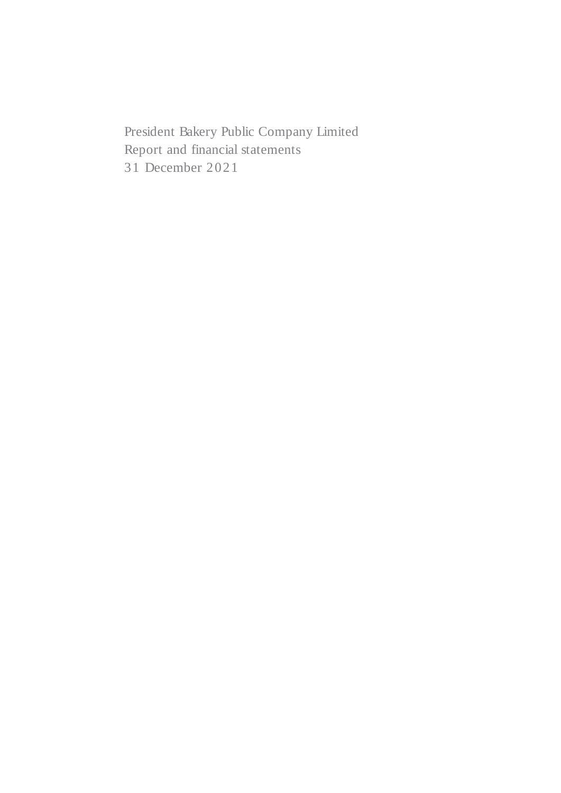President Bakery Public Company Limited Report and financial statements 31 December 2021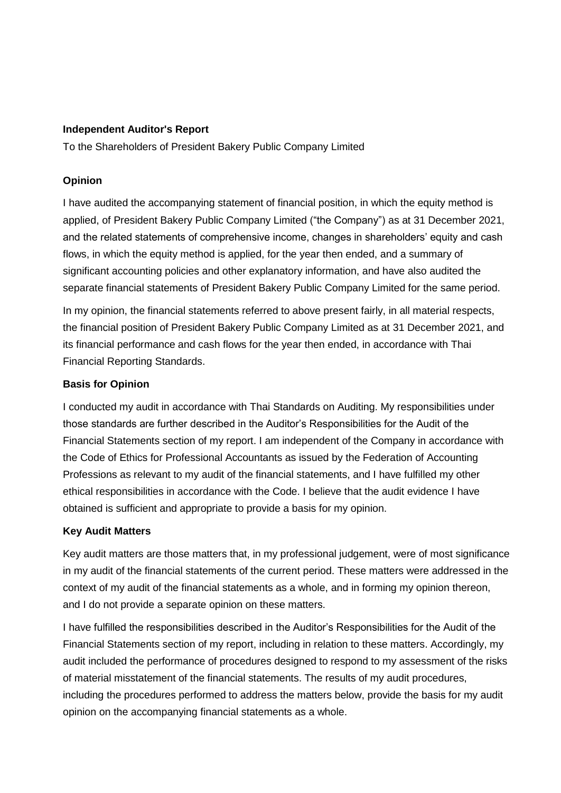# **Independent Auditor's Report**

To the Shareholders of President Bakery Public Company Limited

# **Opinion**

I have audited the accompanying statement of financial position, in which the equity method is applied, of President Bakery Public Company Limited ("the Company") as at 31 December 2021, and the related statements of comprehensive income, changes in shareholders' equity and cash flows, in which the equity method is applied, for the year then ended, and a summary of significant accounting policies and other explanatory information, and have also audited the separate financial statements of President Bakery Public Company Limited for the same period.

In my opinion, the financial statements referred to above present fairly, in all material respects, the financial position of President Bakery Public Company Limited as at 31 December 2021, and its financial performance and cash flows for the year then ended, in accordance with Thai Financial Reporting Standards.

# **Basis for Opinion**

I conducted my audit in accordance with Thai Standards on Auditing. My responsibilities under those standards are further described in the Auditor's Responsibilities for the Audit of the Financial Statements section of my report. I am independent of the Company in accordance with the Code of Ethics for Professional Accountants as issued by the Federation of Accounting Professions as relevant to my audit of the financial statements, and I have fulfilled my other ethical responsibilities in accordance with the Code. I believe that the audit evidence I have obtained is sufficient and appropriate to provide a basis for my opinion.

# **Key Audit Matters**

Key audit matters are those matters that, in my professional judgement, were of most significance in my audit of the financial statements of the current period. These matters were addressed in the context of my audit of the financial statements as a whole, and in forming my opinion thereon, and I do not provide a separate opinion on these matters.

I have fulfilled the responsibilities described in the Auditor's Responsibilities for the Audit of the Financial Statements section of my report, including in relation to these matters. Accordingly, my audit included the performance of procedures designed to respond to my assessment of the risks of material misstatement of the financial statements. The results of my audit procedures, including the procedures performed to address the matters below, provide the basis for my audit opinion on the accompanying financial statements as a whole.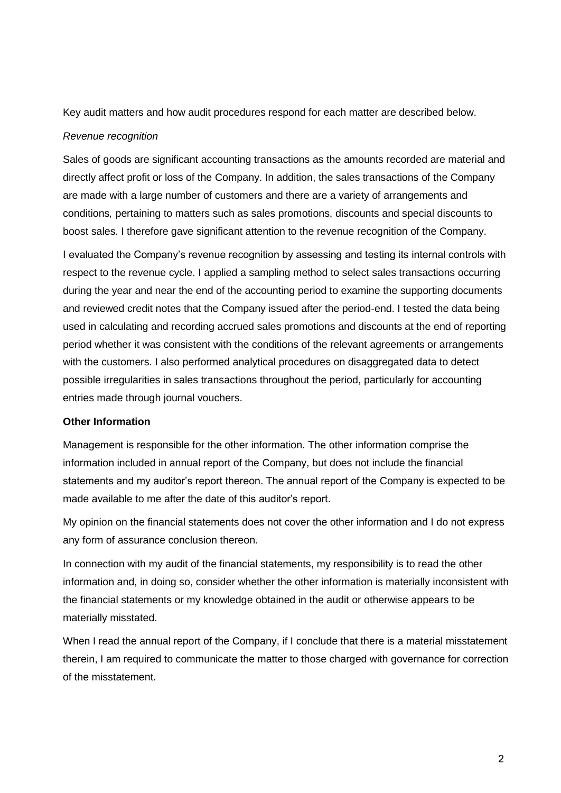Key audit matters and how audit procedures respond for each matter are described below.

## *Revenue recognition*

Sales of goods are significant accounting transactions as the amounts recorded are material and directly affect profit or loss of the Company. In addition, the sales transactions of the Company are made with a large number of customers and there are a variety of arrangements and conditions*,* pertaining to matters such as sales promotions, discounts and special discounts to boost sales. I therefore gave significant attention to the revenue recognition of the Company.

I evaluated the Company's revenue recognition by assessing and testing its internal controls with respect to the revenue cycle. I applied a sampling method to select sales transactions occurring during the year and near the end of the accounting period to examine the supporting documents and reviewed credit notes that the Company issued after the period-end. I tested the data being used in calculating and recording accrued sales promotions and discounts at the end of reporting period whether it was consistent with the conditions of the relevant agreements or arrangements with the customers. I also performed analytical procedures on disaggregated data to detect possible irregularities in sales transactions throughout the period, particularly for accounting entries made through journal vouchers.

## **Other Information**

Management is responsible for the other information. The other information comprise the information included in annual report of the Company, but does not include the financial statements and my auditor's report thereon. The annual report of the Company is expected to be made available to me after the date of this auditor's report.

My opinion on the financial statements does not cover the other information and I do not express any form of assurance conclusion thereon.

In connection with my audit of the financial statements, my responsibility is to read the other information and, in doing so, consider whether the other information is materially inconsistent with the financial statements or my knowledge obtained in the audit or otherwise appears to be materially misstated.

When I read the annual report of the Company, if I conclude that there is a material misstatement therein, I am required to communicate the matter to those charged with governance for correction of the misstatement.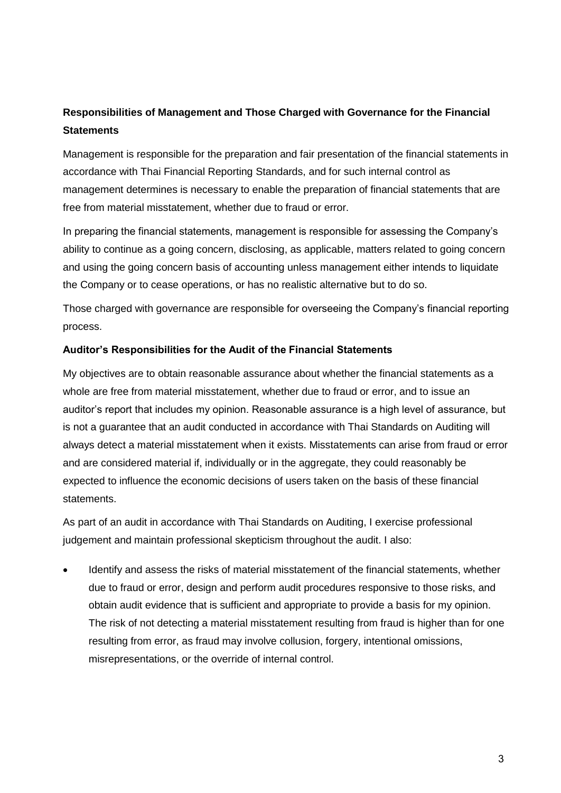# **Responsibilities of Management and Those Charged with Governance for the Financial Statements**

Management is responsible for the preparation and fair presentation of the financial statements in accordance with Thai Financial Reporting Standards, and for such internal control as management determines is necessary to enable the preparation of financial statements that are free from material misstatement, whether due to fraud or error.

In preparing the financial statements, management is responsible for assessing the Company's ability to continue as a going concern, disclosing, as applicable, matters related to going concern and using the going concern basis of accounting unless management either intends to liquidate the Company or to cease operations, or has no realistic alternative but to do so.

Those charged with governance are responsible for overseeing the Company's financial reporting process.

# **Auditor's Responsibilities for the Audit of the Financial Statements**

My objectives are to obtain reasonable assurance about whether the financial statements as a whole are free from material misstatement, whether due to fraud or error, and to issue an auditor's report that includes my opinion. Reasonable assurance is a high level of assurance, but is not a guarantee that an audit conducted in accordance with Thai Standards on Auditing will always detect a material misstatement when it exists. Misstatements can arise from fraud or error and are considered material if, individually or in the aggregate, they could reasonably be expected to influence the economic decisions of users taken on the basis of these financial statements.

As part of an audit in accordance with Thai Standards on Auditing, I exercise professional judgement and maintain professional skepticism throughout the audit. I also:

 Identify and assess the risks of material misstatement of the financial statements, whether due to fraud or error, design and perform audit procedures responsive to those risks, and obtain audit evidence that is sufficient and appropriate to provide a basis for my opinion. The risk of not detecting a material misstatement resulting from fraud is higher than for one resulting from error, as fraud may involve collusion, forgery, intentional omissions, misrepresentations, or the override of internal control.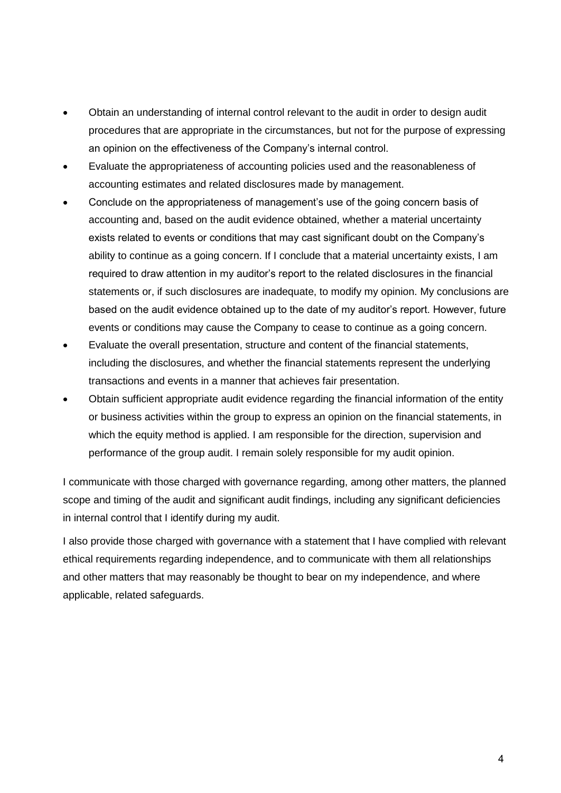- Obtain an understanding of internal control relevant to the audit in order to design audit procedures that are appropriate in the circumstances, but not for the purpose of expressing an opinion on the effectiveness of the Company's internal control.
- Evaluate the appropriateness of accounting policies used and the reasonableness of accounting estimates and related disclosures made by management.
- Conclude on the appropriateness of management's use of the going concern basis of accounting and, based on the audit evidence obtained, whether a material uncertainty exists related to events or conditions that may cast significant doubt on the Company's ability to continue as a going concern. If I conclude that a material uncertainty exists, I am required to draw attention in my auditor's report to the related disclosures in the financial statements or, if such disclosures are inadequate, to modify my opinion. My conclusions are based on the audit evidence obtained up to the date of my auditor's report. However, future events or conditions may cause the Company to cease to continue as a going concern.
- Evaluate the overall presentation, structure and content of the financial statements, including the disclosures, and whether the financial statements represent the underlying transactions and events in a manner that achieves fair presentation.
- Obtain sufficient appropriate audit evidence regarding the financial information of the entity or business activities within the group to express an opinion on the financial statements, in which the equity method is applied. I am responsible for the direction, supervision and performance of the group audit. I remain solely responsible for my audit opinion.

I communicate with those charged with governance regarding, among other matters, the planned scope and timing of the audit and significant audit findings, including any significant deficiencies in internal control that I identify during my audit.

I also provide those charged with governance with a statement that I have complied with relevant ethical requirements regarding independence, and to communicate with them all relationships and other matters that may reasonably be thought to bear on my independence, and where applicable, related safeguards.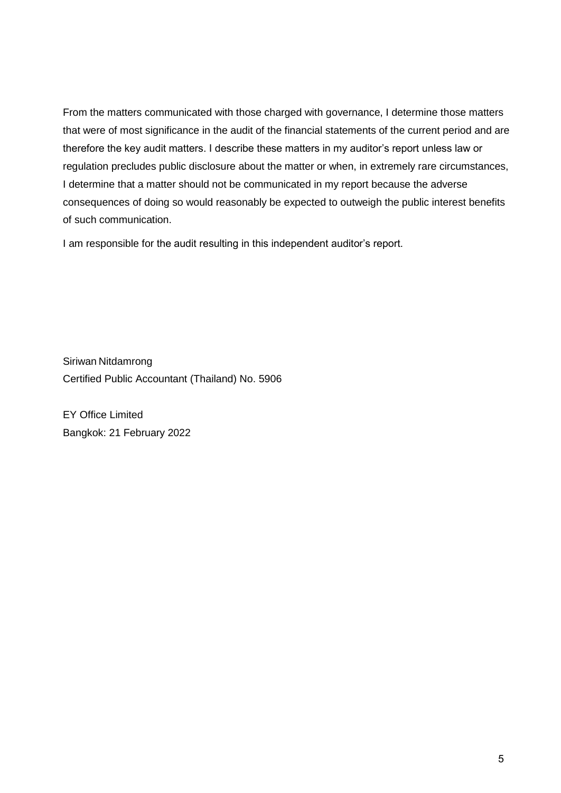From the matters communicated with those charged with governance, I determine those matters that were of most significance in the audit of the financial statements of the current period and are therefore the key audit matters. I describe these matters in my auditor's report unless law or regulation precludes public disclosure about the matter or when, in extremely rare circumstances, I determine that a matter should not be communicated in my report because the adverse consequences of doing so would reasonably be expected to outweigh the public interest benefits of such communication.

I am responsible for the audit resulting in this independent auditor's report.

Siriwan Nitdamrong Certified Public Accountant (Thailand) No. 5906

EY Office Limited Bangkok: 21 February 2022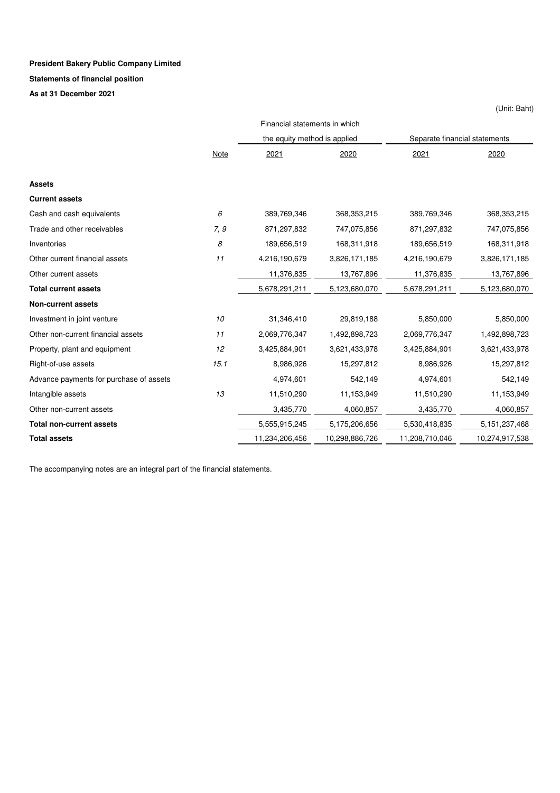# **Statements of financial position**

**As at 31 December 2021**

|                                         | Financial statements in which |                              |                |                               |                  |  |
|-----------------------------------------|-------------------------------|------------------------------|----------------|-------------------------------|------------------|--|
|                                         |                               | the equity method is applied |                | Separate financial statements |                  |  |
|                                         | Note                          | 2021                         | 2020           | 2021                          | 2020             |  |
| <b>Assets</b>                           |                               |                              |                |                               |                  |  |
| <b>Current assets</b>                   |                               |                              |                |                               |                  |  |
| Cash and cash equivalents               | 6                             | 389,769,346                  | 368,353,215    | 389,769,346                   | 368,353,215      |  |
| Trade and other receivables             | 7, 9                          | 871,297,832                  | 747,075,856    | 871,297,832                   | 747,075,856      |  |
| Inventories                             | 8                             | 189,656,519                  | 168,311,918    | 189,656,519                   | 168,311,918      |  |
| Other current financial assets          | 11                            | 4,216,190,679                | 3,826,171,185  | 4,216,190,679                 | 3,826,171,185    |  |
| Other current assets                    |                               | 11,376,835                   | 13,767,896     | 11,376,835                    | 13,767,896       |  |
| <b>Total current assets</b>             |                               | 5,678,291,211                | 5,123,680,070  | 5,678,291,211                 | 5,123,680,070    |  |
| <b>Non-current assets</b>               |                               |                              |                |                               |                  |  |
| Investment in joint venture             | 10                            | 31,346,410                   | 29,819,188     | 5,850,000                     | 5,850,000        |  |
| Other non-current financial assets      | 11                            | 2,069,776,347                | 1,492,898,723  | 2,069,776,347                 | 1,492,898,723    |  |
| Property, plant and equipment           | 12                            | 3,425,884,901                | 3,621,433,978  | 3,425,884,901                 | 3,621,433,978    |  |
| Right-of-use assets                     | 15.1                          | 8,986,926                    | 15,297,812     | 8,986,926                     | 15,297,812       |  |
| Advance payments for purchase of assets |                               | 4,974,601                    | 542,149        | 4,974,601                     | 542,149          |  |
| Intangible assets                       | 13                            | 11,510,290                   | 11,153,949     | 11,510,290                    | 11,153,949       |  |
| Other non-current assets                |                               | 3,435,770                    | 4,060,857      | 3,435,770                     | 4,060,857        |  |
| <b>Total non-current assets</b>         |                               | 5,555,915,245                | 5,175,206,656  | 5,530,418,835                 | 5, 151, 237, 468 |  |
| <b>Total assets</b>                     |                               | 11,234,206,456               | 10,298,886,726 | 11,208,710,046                | 10,274,917,538   |  |

The accompanying notes are an integral part of the financial statements.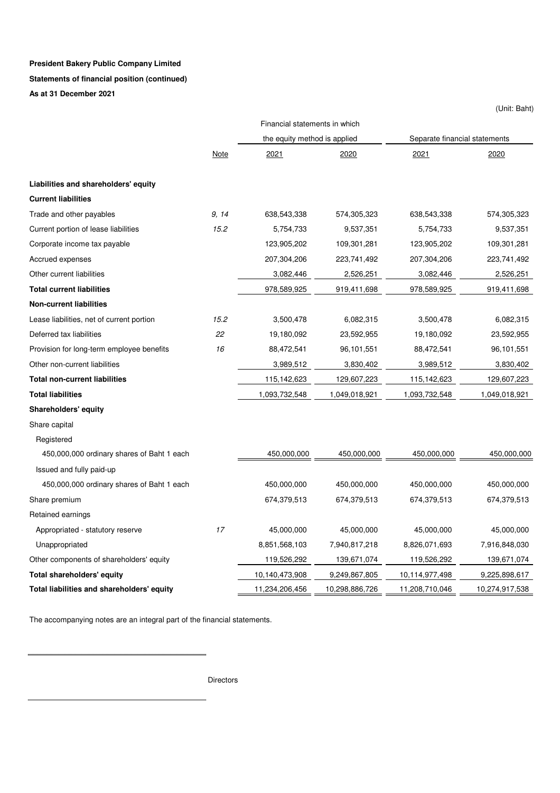#### **Statements of financial position (continued)**

**As at 31 December 2021**

|                                            |             | Financial statements in which |                |                               |                |  |
|--------------------------------------------|-------------|-------------------------------|----------------|-------------------------------|----------------|--|
|                                            |             | the equity method is applied  |                | Separate financial statements |                |  |
|                                            | <b>Note</b> | 2021                          | 2020           | 2021                          | 2020           |  |
| Liabilities and shareholders' equity       |             |                               |                |                               |                |  |
| <b>Current liabilities</b>                 |             |                               |                |                               |                |  |
| Trade and other payables                   | 9, 14       | 638,543,338                   | 574,305,323    | 638,543,338                   | 574,305,323    |  |
| Current portion of lease liabilities       | 15.2        | 5,754,733                     | 9,537,351      | 5,754,733                     | 9,537,351      |  |
| Corporate income tax payable               |             | 123,905,202                   | 109,301,281    | 123,905,202                   | 109,301,281    |  |
| Accrued expenses                           |             | 207,304,206                   | 223,741,492    | 207,304,206                   | 223,741,492    |  |
| Other current liabilities                  |             | 3,082,446                     | 2,526,251      | 3,082,446                     | 2,526,251      |  |
| <b>Total current liabilities</b>           |             | 978,589,925                   | 919,411,698    | 978,589,925                   | 919,411,698    |  |
| <b>Non-current liabilities</b>             |             |                               |                |                               |                |  |
| Lease liabilities, net of current portion  | 15.2        | 3,500,478                     | 6,082,315      | 3,500,478                     | 6,082,315      |  |
| Deferred tax liabilities                   | 22          | 19,180,092                    | 23,592,955     | 19,180,092                    | 23,592,955     |  |
| Provision for long-term employee benefits  | 16          | 88,472,541                    | 96,101,551     | 88,472,541                    | 96,101,551     |  |
| Other non-current liabilities              |             | 3,989,512                     | 3,830,402      | 3,989,512                     | 3,830,402      |  |
| <b>Total non-current liabilities</b>       |             | 115,142,623                   | 129,607,223    | 115,142,623                   | 129,607,223    |  |
| <b>Total liabilities</b>                   |             | 1,093,732,548                 | 1,049,018,921  | 1,093,732,548                 | 1,049,018,921  |  |
| <b>Shareholders' equity</b>                |             |                               |                |                               |                |  |
| Share capital                              |             |                               |                |                               |                |  |
| Registered                                 |             |                               |                |                               |                |  |
| 450,000,000 ordinary shares of Baht 1 each |             | 450,000,000                   | 450,000,000    | 450,000,000                   | 450,000,000    |  |
| Issued and fully paid-up                   |             |                               |                |                               |                |  |
| 450,000,000 ordinary shares of Baht 1 each |             | 450,000,000                   | 450,000,000    | 450,000,000                   | 450,000,000    |  |
| Share premium                              |             | 674,379,513                   | 674,379,513    | 674,379,513                   | 674,379,513    |  |
| Retained earnings                          |             |                               |                |                               |                |  |
| Appropriated - statutory reserve           | 17          | 45,000,000                    | 45,000,000     | 45,000,000                    | 45,000,000     |  |
| Unappropriated                             |             | 8,851,568,103                 | 7,940,817,218  | 8,826,071,693                 | 7,916,848,030  |  |
| Other components of shareholders' equity   |             | 119,526,292                   | 139,671,074    | 119,526,292                   | 139,671,074    |  |
| Total shareholders' equity                 |             | 10,140,473,908                | 9,249,867,805  | 10,114,977,498                | 9,225,898,617  |  |
| Total liabilities and shareholders' equity |             | 11,234,206,456                | 10,298,886,726 | 11,208,710,046                | 10,274,917,538 |  |

The accompanying notes are an integral part of the financial statements.

Directors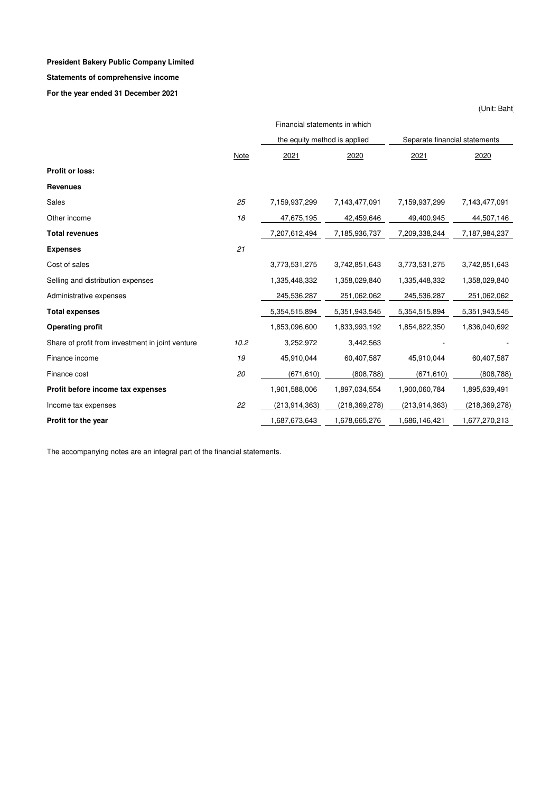#### **Statements of comprehensive income**

**For the year ended 31 December 2021**

|                                                  | Financial statements in which |                              |                 |                               |                 |  |
|--------------------------------------------------|-------------------------------|------------------------------|-----------------|-------------------------------|-----------------|--|
|                                                  |                               | the equity method is applied |                 | Separate financial statements |                 |  |
|                                                  | Note                          | 2021                         | 2020            | 2021                          | 2020            |  |
| <b>Profit or loss:</b>                           |                               |                              |                 |                               |                 |  |
| <b>Revenues</b>                                  |                               |                              |                 |                               |                 |  |
| <b>Sales</b>                                     | 25                            | 7,159,937,299                | 7,143,477,091   | 7,159,937,299                 | 7,143,477,091   |  |
| Other income                                     | 18                            | 47,675,195                   | 42,459,646      | 49,400,945                    | 44,507,146      |  |
| <b>Total revenues</b>                            |                               | 7,207,612,494                | 7,185,936,737   | 7,209,338,244                 | 7,187,984,237   |  |
| <b>Expenses</b>                                  | 21                            |                              |                 |                               |                 |  |
| Cost of sales                                    |                               | 3,773,531,275                | 3,742,851,643   | 3,773,531,275                 | 3,742,851,643   |  |
| Selling and distribution expenses                |                               | 1,335,448,332                | 1,358,029,840   | 1,335,448,332                 | 1,358,029,840   |  |
| Administrative expenses                          |                               | 245,536,287                  | 251,062,062     | 245,536,287                   | 251,062,062     |  |
| <b>Total expenses</b>                            |                               | 5,354,515,894                | 5,351,943,545   | 5,354,515,894                 | 5,351,943,545   |  |
| <b>Operating profit</b>                          |                               | 1,853,096,600                | 1,833,993,192   | 1,854,822,350                 | 1,836,040,692   |  |
| Share of profit from investment in joint venture | 10.2                          | 3,252,972                    | 3,442,563       |                               |                 |  |
| Finance income                                   | 19                            | 45,910,044                   | 60,407,587      | 45,910,044                    | 60,407,587      |  |
| Finance cost                                     | 20                            | (671, 610)                   | (808, 788)      | (671, 610)                    | (808, 788)      |  |
| Profit before income tax expenses                |                               | 1,901,588,006                | 1,897,034,554   | 1,900,060,784                 | 1,895,639,491   |  |
| Income tax expenses                              | 22                            | (213, 914, 363)              | (218, 369, 278) | (213, 914, 363)               | (218, 369, 278) |  |
| Profit for the year                              |                               | 1,687,673,643                | 1,678,665,276   | 1,686,146,421                 | 1,677,270,213   |  |

The accompanying notes are an integral part of the financial statements.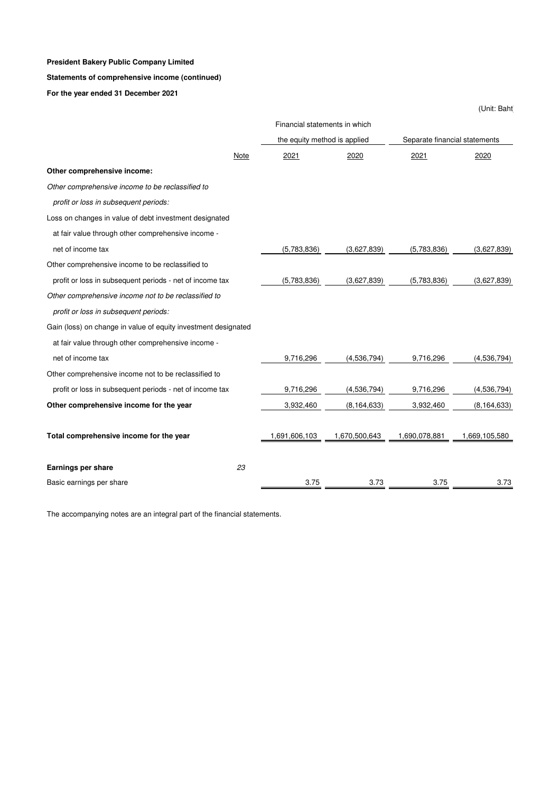#### **Statements of comprehensive income (continued)**

**For the year ended 31 December 2021**

|                                                                | Financial statements in which |                              |               |               |                               |  |
|----------------------------------------------------------------|-------------------------------|------------------------------|---------------|---------------|-------------------------------|--|
|                                                                |                               | the equity method is applied |               |               | Separate financial statements |  |
|                                                                | <b>Note</b>                   | 2021                         | 2020          | 2021          | 2020                          |  |
| Other comprehensive income:                                    |                               |                              |               |               |                               |  |
| Other comprehensive income to be reclassified to               |                               |                              |               |               |                               |  |
| profit or loss in subsequent periods:                          |                               |                              |               |               |                               |  |
| Loss on changes in value of debt investment designated         |                               |                              |               |               |                               |  |
| at fair value through other comprehensive income -             |                               |                              |               |               |                               |  |
| net of income tax                                              |                               | (5,783,836)                  | (3,627,839)   | (5,783,836)   | (3,627,839)                   |  |
| Other comprehensive income to be reclassified to               |                               |                              |               |               |                               |  |
| profit or loss in subsequent periods - net of income tax       |                               | (5,783,836)                  | (3,627,839)   | (5,783,836)   | (3,627,839)                   |  |
| Other comprehensive income not to be reclassified to           |                               |                              |               |               |                               |  |
| profit or loss in subsequent periods:                          |                               |                              |               |               |                               |  |
| Gain (loss) on change in value of equity investment designated |                               |                              |               |               |                               |  |
| at fair value through other comprehensive income -             |                               |                              |               |               |                               |  |
| net of income tax                                              |                               | 9,716,296                    | (4,536,794)   | 9,716,296     | (4,536,794)                   |  |
| Other comprehensive income not to be reclassified to           |                               |                              |               |               |                               |  |
| profit or loss in subsequent periods - net of income tax       |                               | 9,716,296                    | (4,536,794)   | 9,716,296     | (4,536,794)                   |  |
| Other comprehensive income for the year                        |                               | 3,932,460                    | (8, 164, 633) | 3,932,460     | (8, 164, 633)                 |  |
|                                                                |                               |                              |               |               |                               |  |
| Total comprehensive income for the year                        |                               | 1,691,606,103                | 1,670,500,643 | 1,690,078,881 | 1,669,105,580                 |  |
|                                                                |                               |                              |               |               |                               |  |
| Earnings per share                                             | 23                            |                              |               |               |                               |  |
| Basic earnings per share                                       |                               | 3.75                         | 3.73          | 3.75          | 3.73                          |  |

The accompanying notes are an integral part of the financial statements.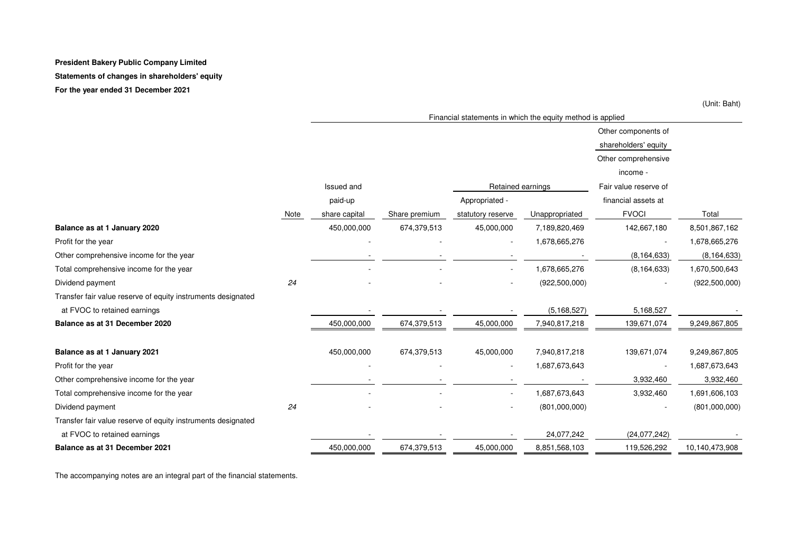# **President Bakery Public Company Limited Statements of changes in shareholders' equityFor the year ended 31 December 2021**

|                                                              |      |               |               | Financial statements in which the equity method is applied |                 |                       |                 |
|--------------------------------------------------------------|------|---------------|---------------|------------------------------------------------------------|-----------------|-----------------------|-----------------|
|                                                              |      |               |               |                                                            |                 | Other components of   |                 |
|                                                              |      |               |               |                                                            |                 | shareholders' equity  |                 |
|                                                              |      |               |               |                                                            |                 | Other comprehensive   |                 |
|                                                              |      |               |               |                                                            |                 | income -              |                 |
|                                                              |      | Issued and    |               | Retained earnings                                          |                 | Fair value reserve of |                 |
|                                                              |      | paid-up       |               | Appropriated -                                             |                 | financial assets at   |                 |
|                                                              | Note | share capital | Share premium | statutory reserve                                          | Unappropriated  | <b>FVOCI</b>          | Total           |
| Balance as at 1 January 2020                                 |      | 450,000,000   | 674,379,513   | 45,000,000                                                 | 7,189,820,469   | 142,667,180           | 8,501,867,162   |
| Profit for the year                                          |      |               |               |                                                            | 1,678,665,276   |                       | 1,678,665,276   |
| Other comprehensive income for the year                      |      |               |               |                                                            |                 | (8, 164, 633)         | (8, 164, 633)   |
| Total comprehensive income for the year                      |      |               |               |                                                            | 1,678,665,276   | (8, 164, 633)         | 1,670,500,643   |
| Dividend payment                                             | 24   |               |               |                                                            | (922, 500, 000) |                       | (922, 500, 000) |
| Transfer fair value reserve of equity instruments designated |      |               |               |                                                            |                 |                       |                 |
| at FVOC to retained earnings                                 |      |               |               |                                                            | (5, 168, 527)   | 5,168,527             |                 |
| Balance as at 31 December 2020                               |      | 450,000,000   | 674,379,513   | 45,000,000                                                 | 7,940,817,218   | 139,671,074           | 9,249,867,805   |
| Balance as at 1 January 2021                                 |      | 450,000,000   | 674,379,513   | 45,000,000                                                 | 7,940,817,218   | 139,671,074           | 9,249,867,805   |
| Profit for the year                                          |      |               |               |                                                            | 1,687,673,643   |                       | 1,687,673,643   |
| Other comprehensive income for the year                      |      |               |               |                                                            |                 | 3,932,460             | 3,932,460       |
| Total comprehensive income for the year                      |      |               |               |                                                            | 1,687,673,643   | 3,932,460             | 1,691,606,103   |
| Dividend payment                                             | 24   |               |               |                                                            | (801,000,000)   |                       | (801,000,000)   |
| Transfer fair value reserve of equity instruments designated |      |               |               |                                                            |                 |                       |                 |
| at FVOC to retained earnings                                 |      |               |               |                                                            | 24,077,242      | (24,077,242)          |                 |
| Balance as at 31 December 2021                               |      | 450,000,000   | 674,379,513   | 45,000,000                                                 | 8,851,568,103   | 119,526,292           | 10,140,473,908  |

The accompanying notes are an integral part of the financial statements.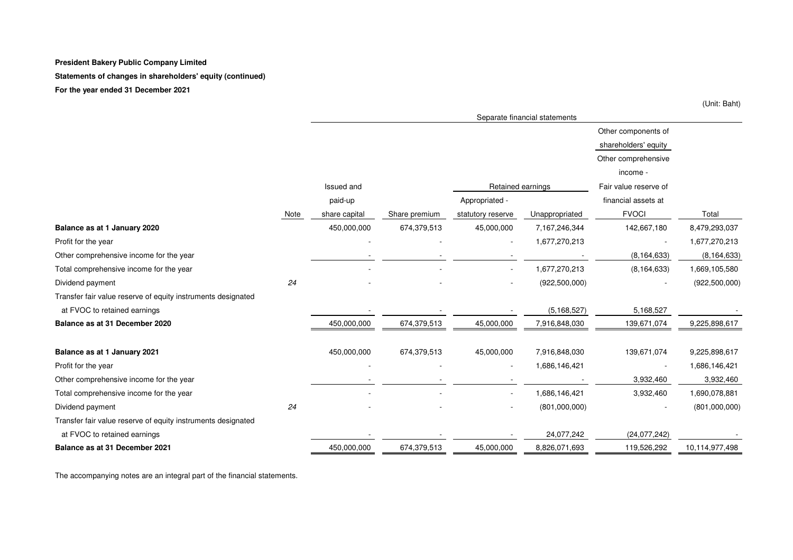**Statements of changes in shareholders' equity (continued)**

**For the year ended 31 December 2021**

|                                                              |      | Separate financial statements |               |                   |                 |                          |                 |
|--------------------------------------------------------------|------|-------------------------------|---------------|-------------------|-----------------|--------------------------|-----------------|
|                                                              |      |                               |               |                   |                 | Other components of      |                 |
|                                                              |      |                               |               |                   |                 | shareholders' equity     |                 |
|                                                              |      |                               |               |                   |                 | Other comprehensive      |                 |
|                                                              |      |                               |               |                   |                 | income -                 |                 |
|                                                              |      | Issued and                    |               | Retained earnings |                 | Fair value reserve of    |                 |
|                                                              |      | paid-up                       |               | Appropriated -    |                 | financial assets at      |                 |
|                                                              | Note | share capital                 | Share premium | statutory reserve | Unappropriated  | <b>FVOCI</b>             | Total           |
| Balance as at 1 January 2020                                 |      | 450,000,000                   | 674,379,513   | 45,000,000        | 7,167,246,344   | 142,667,180              | 8,479,293,037   |
| Profit for the year                                          |      |                               |               |                   | 1,677,270,213   | $\overline{\phantom{a}}$ | 1,677,270,213   |
| Other comprehensive income for the year                      |      |                               |               |                   |                 | (8, 164, 633)            | (8, 164, 633)   |
| Total comprehensive income for the year                      |      |                               |               |                   | 1,677,270,213   | (8, 164, 633)            | 1,669,105,580   |
| Dividend payment                                             | 24   |                               |               |                   | (922, 500, 000) |                          | (922, 500, 000) |
| Transfer fair value reserve of equity instruments designated |      |                               |               |                   |                 |                          |                 |
| at FVOC to retained earnings                                 |      |                               |               |                   | (5, 168, 527)   | 5,168,527                |                 |
| Balance as at 31 December 2020                               |      | 450,000,000                   | 674,379,513   | 45,000,000        | 7,916,848,030   | 139,671,074              | 9,225,898,617   |
| Balance as at 1 January 2021                                 |      | 450,000,000                   | 674,379,513   | 45,000,000        | 7,916,848,030   | 139,671,074              | 9,225,898,617   |
| Profit for the year                                          |      |                               |               |                   | 1,686,146,421   |                          | 1,686,146,421   |
| Other comprehensive income for the year                      |      |                               |               |                   |                 | 3,932,460                | 3,932,460       |
| Total comprehensive income for the year                      |      |                               |               |                   | 1,686,146,421   | 3,932,460                | 1,690,078,881   |
| Dividend payment                                             | 24   |                               |               |                   | (801,000,000)   |                          | (801,000,000)   |
| Transfer fair value reserve of equity instruments designated |      |                               |               |                   |                 |                          |                 |
| at FVOC to retained earnings                                 |      |                               |               |                   | 24,077,242      | (24, 077, 242)           |                 |
| Balance as at 31 December 2021                               |      | 450,000,000                   | 674,379,513   | 45,000,000        | 8,826,071,693   | 119,526,292              | 10,114,977,498  |

The accompanying notes are an integral part of the financial statements.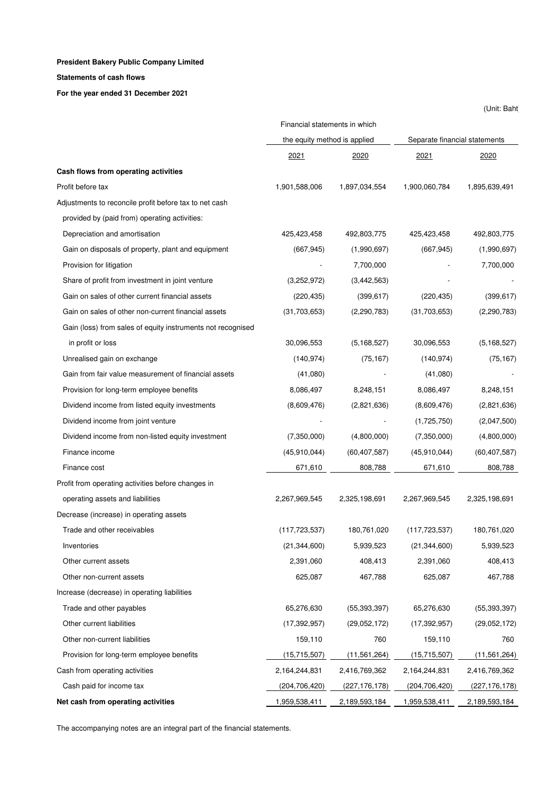**Statements of cash flows**

**For the year ended 31 December 2021**

(Unit: Baht)

|                                                             | Financial statements in which |                 |                 |                               |  |
|-------------------------------------------------------------|-------------------------------|-----------------|-----------------|-------------------------------|--|
|                                                             | the equity method is applied  |                 |                 | Separate financial statements |  |
|                                                             | <u> 2021</u>                  | 2020            | <u> 2021</u>    | 2020                          |  |
| Cash flows from operating activities                        |                               |                 |                 |                               |  |
| Profit before tax                                           | 1,901,588,006                 | 1,897,034,554   | 1,900,060,784   | 1,895,639,491                 |  |
| Adjustments to reconcile profit before tax to net cash      |                               |                 |                 |                               |  |
| provided by (paid from) operating activities:               |                               |                 |                 |                               |  |
| Depreciation and amortisation                               | 425,423,458                   | 492,803,775     | 425,423,458     | 492,803,775                   |  |
| Gain on disposals of property, plant and equipment          | (667, 945)                    | (1,990,697)     | (667, 945)      | (1,990,697)                   |  |
| Provision for litigation                                    |                               | 7,700,000       |                 | 7,700,000                     |  |
| Share of profit from investment in joint venture            | (3,252,972)                   | (3,442,563)     |                 |                               |  |
| Gain on sales of other current financial assets             | (220, 435)                    | (399, 617)      | (220, 435)      | (399, 617)                    |  |
| Gain on sales of other non-current financial assets         | (31,703,653)                  | (2, 290, 783)   | (31,703,653)    | (2, 290, 783)                 |  |
| Gain (loss) from sales of equity instruments not recognised |                               |                 |                 |                               |  |
| in profit or loss                                           | 30,096,553                    | (5, 168, 527)   | 30,096,553      | (5, 168, 527)                 |  |
| Unrealised gain on exchange                                 | (140, 974)                    | (75, 167)       | (140, 974)      | (75, 167)                     |  |
| Gain from fair value measurement of financial assets        | (41,080)                      |                 | (41,080)        |                               |  |
| Provision for long-term employee benefits                   | 8,086,497                     | 8,248,151       | 8,086,497       | 8,248,151                     |  |
| Dividend income from listed equity investments              | (8,609,476)                   | (2,821,636)     | (8,609,476)     | (2,821,636)                   |  |
| Dividend income from joint venture                          |                               |                 | (1,725,750)     | (2,047,500)                   |  |
| Dividend income from non-listed equity investment           | (7,350,000)                   | (4,800,000)     | (7,350,000)     | (4,800,000)                   |  |
| Finance income                                              | (45, 910, 044)                | (60, 407, 587)  | (45, 910, 044)  | (60, 407, 587)                |  |
| Finance cost                                                | 671,610                       | 808,788         | 671,610         | 808,788                       |  |
| Profit from operating activities before changes in          |                               |                 |                 |                               |  |
| operating assets and liabilities                            | 2,267,969,545                 | 2,325,198,691   | 2,267,969,545   | 2,325,198,691                 |  |
| Decrease (increase) in operating assets                     |                               |                 |                 |                               |  |
| Trade and other receivables                                 | (117, 723, 537)               | 180,761,020     | (117, 723, 537) | 180,761,020                   |  |
| Inventories                                                 | (21, 344, 600)                | 5,939,523       | (21, 344, 600)  | 5,939,523                     |  |
| Other current assets                                        | 2,391,060                     | 408,413         | 2,391,060       | 408,413                       |  |
| Other non-current assets                                    | 625,087                       | 467.788         | 625,087         | 467,788                       |  |
| Increase (decrease) in operating liabilities                |                               |                 |                 |                               |  |
| Trade and other payables                                    | 65,276,630                    | (55, 393, 397)  | 65,276,630      | (55, 393, 397)                |  |
| Other current liabilities                                   | (17, 392, 957)                | (29,052,172)    | (17, 392, 957)  | (29,052,172)                  |  |
| Other non-current liabilities                               | 159,110                       | 760             | 159,110         | 760                           |  |
| Provision for long-term employee benefits                   | (15,715,507)                  | (11, 561, 264)  | (15,715,507)    | (11, 561, 264)                |  |
| Cash from operating activities                              | 2,164,244,831                 | 2,416,769,362   | 2,164,244,831   | 2,416,769,362                 |  |
| Cash paid for income tax                                    | (204, 706, 420)               | (227, 176, 178) | (204, 706, 420) | (227, 176, 178)               |  |
| Net cash from operating activities                          | 1,959,538,411                 | 2,189,593,184   | 1,959,538,411   | 2,189,593,184                 |  |

The accompanying notes are an integral part of the financial statements.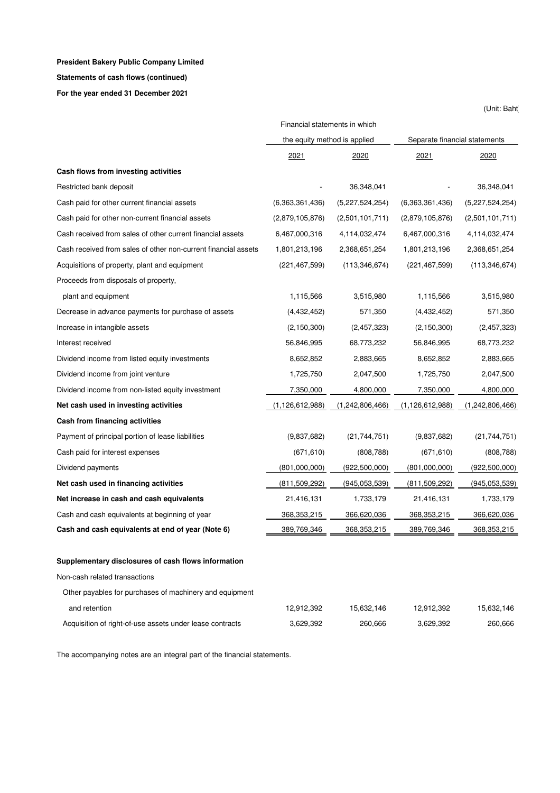#### **Statements of cash flows (continued)**

**For the year ended 31 December 2021**

|                                                                | Financial statements in which |                 |                               |                    |
|----------------------------------------------------------------|-------------------------------|-----------------|-------------------------------|--------------------|
|                                                                | the equity method is applied  |                 | Separate financial statements |                    |
|                                                                | <u> 2021</u>                  | 2020            | <u> 2021</u>                  | 2020               |
| Cash flows from investing activities                           |                               |                 |                               |                    |
| Restricted bank deposit                                        |                               | 36,348,041      |                               | 36,348,041         |
| Cash paid for other current financial assets                   | (6,363,361,436)               | (5,227,524,254) | (6,363,361,436)               | (5,227,524,254)    |
| Cash paid for other non-current financial assets               | (2,879,105,876)               | (2,501,101,711) | (2,879,105,876)               | (2,501,101,711)    |
| Cash received from sales of other current financial assets     | 6,467,000,316                 | 4,114,032,474   | 6,467,000,316                 | 4,114,032,474      |
| Cash received from sales of other non-current financial assets | 1,801,213,196                 | 2,368,651,254   | 1,801,213,196                 | 2,368,651,254      |
| Acquisitions of property, plant and equipment                  | (221, 467, 599)               | (113, 346, 674) | (221, 467, 599)               | (113, 346, 674)    |
| Proceeds from disposals of property,                           |                               |                 |                               |                    |
| plant and equipment                                            | 1,115,566                     | 3,515,980       | 1,115,566                     | 3,515,980          |
| Decrease in advance payments for purchase of assets            | (4,432,452)                   | 571,350         | (4,432,452)                   | 571,350            |
| Increase in intangible assets                                  | (2, 150, 300)                 | (2,457,323)     | (2, 150, 300)                 | (2,457,323)        |
| Interest received                                              | 56,846,995                    | 68,773,232      | 56,846,995                    | 68,773,232         |
| Dividend income from listed equity investments                 | 8,652,852                     | 2,883,665       | 8,652,852                     | 2,883,665          |
| Dividend income from joint venture                             | 1,725,750                     | 2,047,500       | 1,725,750                     | 2,047,500          |
| Dividend income from non-listed equity investment              | 7,350,000                     | 4,800,000       | 7,350,000                     | 4,800,000          |
| Net cash used in investing activities                          | (1, 126, 612, 988)            | (1,242,806,466) | (1, 126, 612, 988)            | (1, 242, 806, 466) |
| Cash from financing activities                                 |                               |                 |                               |                    |
| Payment of principal portion of lease liabilities              | (9,837,682)                   | (21, 744, 751)  | (9,837,682)                   | (21, 744, 751)     |
| Cash paid for interest expenses                                | (671, 610)                    | (808, 788)      | (671, 610)                    | (808, 788)         |
| Dividend payments                                              | (801,000,000)                 | (922, 500, 000) | (801,000,000)                 | (922, 500, 000)    |
| Net cash used in financing activities                          | (811, 509, 292)               | (945,053,539)   | (811, 509, 292)               | (945,053,539)      |
| Net increase in cash and cash equivalents                      | 21,416,131                    | 1,733,179       | 21,416,131                    | 1,733,179          |
| Cash and cash equivalents at beginning of year                 | 368, 353, 215                 | 366,620,036     | 368,353,215                   | 366,620,036        |
| Cash and cash equivalents at end of year (Note 6)              | 389,769,346                   | 368,353,215     | 389,769,346                   | 368,353,215        |
| Supplementary disclosures of cash flows information            |                               |                 |                               |                    |
| Non-cash related transactions                                  |                               |                 |                               |                    |
| Other payables for purchases of machinery and equipment        |                               |                 |                               |                    |
| and retention                                                  | 12,912,392                    | 15,632,146      | 12,912,392                    | 15,632,146         |
| Acquisition of right-of-use assets under lease contracts       | 3,629,392                     | 260,666         | 3,629,392                     | 260,666            |

The accompanying notes are an integral part of the financial statements.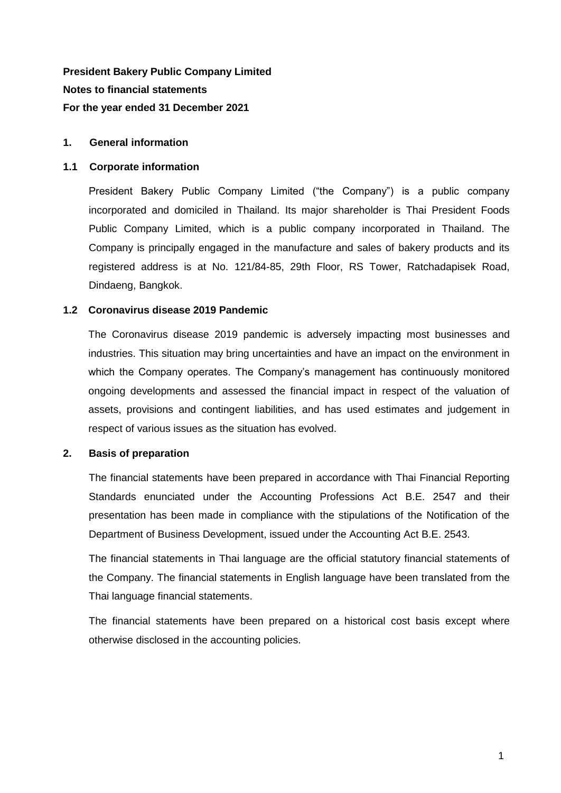**President Bakery Public Company Limited Notes to financial statements For the year ended 31 December 2021**

## **1. General information**

## **1.1 Corporate information**

President Bakery Public Company Limited ("the Company") is a public company incorporated and domiciled in Thailand. Its major shareholder is Thai President Foods Public Company Limited, which is a public company incorporated in Thailand. The Company is principally engaged in the manufacture and sales of bakery products and its registered address is at No. 121/84-85, 29th Floor, RS Tower, Ratchadapisek Road, Dindaeng, Bangkok.

# **1.2 Coronavirus disease 2019 Pandemic**

The Coronavirus disease 2019 pandemic is adversely impacting most businesses and industries. This situation may bring uncertainties and have an impact on the environment in which the Company operates. The Company's management has continuously monitored ongoing developments and assessed the financial impact in respect of the valuation of assets, provisions and contingent liabilities, and has used estimates and judgement in respect of various issues as the situation has evolved.

## **2. Basis of preparation**

The financial statements have been prepared in accordance with Thai Financial Reporting Standards enunciated under the Accounting Professions Act B.E. 2547 and their presentation has been made in compliance with the stipulations of the Notification of the Department of Business Development, issued under the Accounting Act B.E. 2543.

The financial statements in Thai language are the official statutory financial statements of the Company. The financial statements in English language have been translated from the Thai language financial statements.

The financial statements have been prepared on a historical cost basis except where otherwise disclosed in the accounting policies.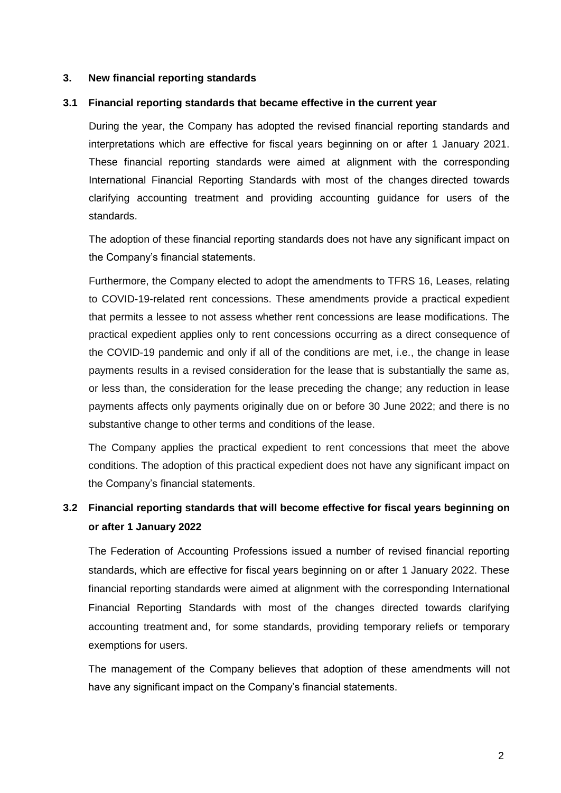### **3. New financial reporting standards**

#### **3.1 Financial reporting standards that became effective in the current year**

During the year, the Company has adopted the revised financial reporting standards and interpretations which are effective for fiscal years beginning on or after 1 January 2021. These financial reporting standards were aimed at alignment with the corresponding International Financial Reporting Standards with most of the changes directed towards clarifying accounting treatment and providing accounting guidance for users of the standards.

The adoption of these financial reporting standards does not have any significant impact on the Company's financial statements.

Furthermore, the Company elected to adopt the amendments to TFRS 16, Leases, relating to COVID-19-related rent concessions. These amendments provide a practical expedient that permits a lessee to not assess whether rent concessions are lease modifications. The practical expedient applies only to rent concessions occurring as a direct consequence of the COVID-19 pandemic and only if all of the conditions are met, i.e., the change in lease payments results in a revised consideration for the lease that is substantially the same as, or less than, the consideration for the lease preceding the change; any reduction in lease payments affects only payments originally due on or before 30 June 2022; and there is no substantive change to other terms and conditions of the lease.

The Company applies the practical expedient to rent concessions that meet the above conditions. The adoption of this practical expedient does not have any significant impact on the Company's financial statements.

# **3.2 Financial reporting standards that will become effective for fiscal years beginning on or after 1 January 2022**

The Federation of Accounting Professions issued a number of revised financial reporting standards, which are effective for fiscal years beginning on or after 1 January 2022. These financial reporting standards were aimed at alignment with the corresponding International Financial Reporting Standards with most of the changes directed towards clarifying accounting treatment and, for some standards, providing temporary reliefs or temporary exemptions for users.

The management of the Company believes that adoption of these amendments will not have any significant impact on the Company's financial statements.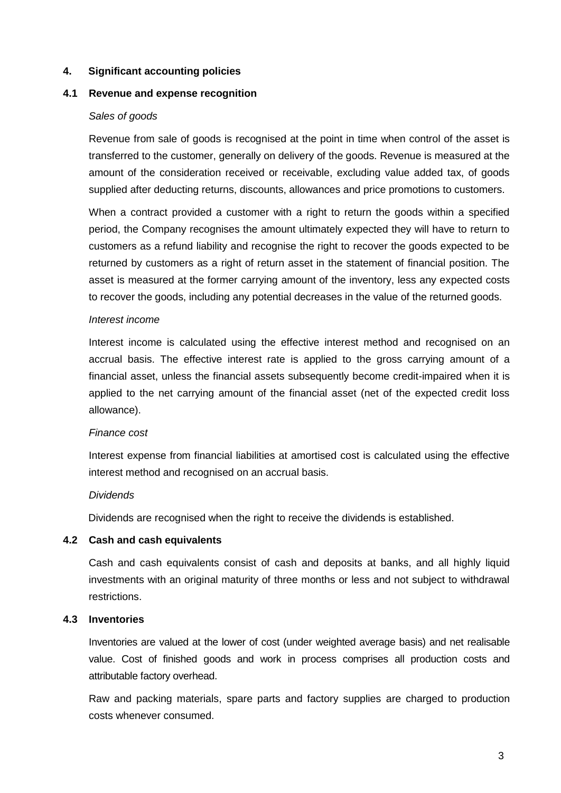#### **4. Significant accounting policies**

#### **4.1 Revenue and expense recognition**

#### *Sales of goods*

Revenue from sale of goods is recognised at the point in time when control of the asset is transferred to the customer, generally on delivery of the goods. Revenue is measured at the amount of the consideration received or receivable, excluding value added tax, of goods supplied after deducting returns, discounts, allowances and price promotions to customers.

When a contract provided a customer with a right to return the goods within a specified period, the Company recognises the amount ultimately expected they will have to return to customers as a refund liability and recognise the right to recover the goods expected to be returned by customers as a right of return asset in the statement of financial position. The asset is measured at the former carrying amount of the inventory, less any expected costs to recover the goods, including any potential decreases in the value of the returned goods.

#### *Interest income*

Interest income is calculated using the effective interest method and recognised on an accrual basis. The effective interest rate is applied to the gross carrying amount of a financial asset, unless the financial assets subsequently become credit-impaired when it is applied to the net carrying amount of the financial asset (net of the expected credit loss allowance).

#### *Finance cost*

Interest expense from financial liabilities at amortised cost is calculated using the effective interest method and recognised on an accrual basis.

#### *Dividends*

Dividends are recognised when the right to receive the dividends is established.

## **4.2 Cash and cash equivalents**

Cash and cash equivalents consist of cash and deposits at banks, and all highly liquid investments with an original maturity of three months or less and not subject to withdrawal restrictions.

#### **4.3 Inventories**

Inventories are valued at the lower of cost (under weighted average basis) and net realisable value. Cost of finished goods and work in process comprises all production costs and attributable factory overhead.

Raw and packing materials, spare parts and factory supplies are charged to production costs whenever consumed.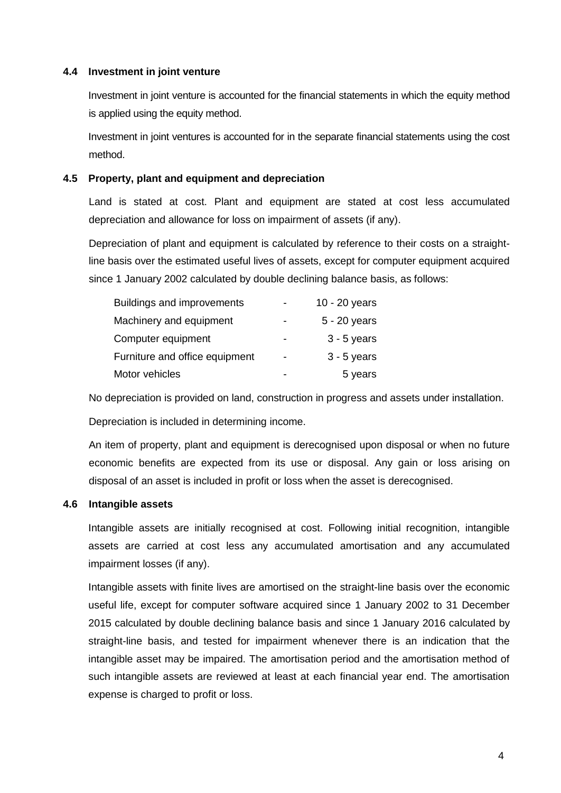#### **4.4 Investment in joint venture**

Investment in joint venture is accounted for the financial statements in which the equity method is applied using the equity method.

Investment in joint ventures is accounted for in the separate financial statements using the cost method.

## **4.5 Property, plant and equipment and depreciation**

Land is stated at cost. Plant and equipment are stated at cost less accumulated depreciation and allowance for loss on impairment of assets (if any).

Depreciation of plant and equipment is calculated by reference to their costs on a straightline basis over the estimated useful lives of assets, except for computer equipment acquired since 1 January 2002 calculated by double declining balance basis, as follows:

| Buildings and improvements     | 10 - 20 years |
|--------------------------------|---------------|
| Machinery and equipment        | 5 - 20 years  |
| Computer equipment             | $3 - 5$ years |
| Furniture and office equipment | $3 - 5$ years |
| Motor vehicles                 | 5 years       |

No depreciation is provided on land, construction in progress and assets under installation.

Depreciation is included in determining income.

An item of property, plant and equipment is derecognised upon disposal or when no future economic benefits are expected from its use or disposal. Any gain or loss arising on disposal of an asset is included in profit or loss when the asset is derecognised.

## **4.6 Intangible assets**

Intangible assets are initially recognised at cost. Following initial recognition, intangible assets are carried at cost less any accumulated amortisation and any accumulated impairment losses (if any).

Intangible assets with finite lives are amortised on the straight-line basis over the economic useful life, except for computer software acquired since 1 January 2002 to 31 December 2015 calculated by double declining balance basis and since 1 January 2016 calculated by straight-line basis, and tested for impairment whenever there is an indication that the intangible asset may be impaired. The amortisation period and the amortisation method of such intangible assets are reviewed at least at each financial year end. The amortisation expense is charged to profit or loss.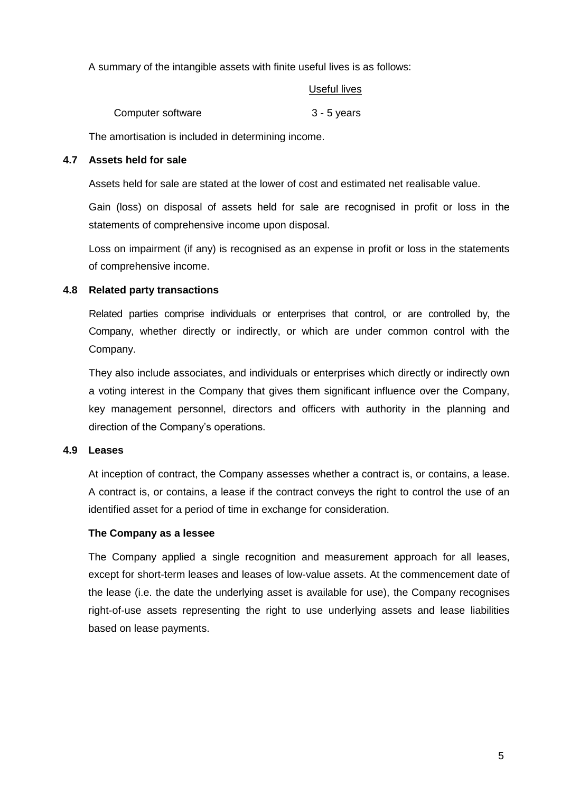A summary of the intangible assets with finite useful lives is as follows:

| Computer software | $3 - 5$ years |
|-------------------|---------------|

The amortisation is included in determining income.

#### **4.7 Assets held for sale**

Assets held for sale are stated at the lower of cost and estimated net realisable value.

Gain (loss) on disposal of assets held for sale are recognised in profit or loss in the statements of comprehensive income upon disposal.

Useful lives

Loss on impairment (if any) is recognised as an expense in profit or loss in the statements of comprehensive income.

#### **4.8 Related party transactions**

Related parties comprise individuals or enterprises that control, or are controlled by, the Company, whether directly or indirectly, or which are under common control with the Company.

They also include associates, and individuals or enterprises which directly or indirectly own a voting interest in the Company that gives them significant influence over the Company, key management personnel, directors and officers with authority in the planning and direction of the Company's operations.

#### **4.9 Leases**

At inception of contract, the Company assesses whether a contract is, or contains, a lease. A contract is, or contains, a lease if the contract conveys the right to control the use of an identified asset for a period of time in exchange for consideration.

#### **The Company as a lessee**

The Company applied a single recognition and measurement approach for all leases, except for short-term leases and leases of low-value assets. At the commencement date of the lease (i.e. the date the underlying asset is available for use), the Company recognises right-of-use assets representing the right to use underlying assets and lease liabilities based on lease payments.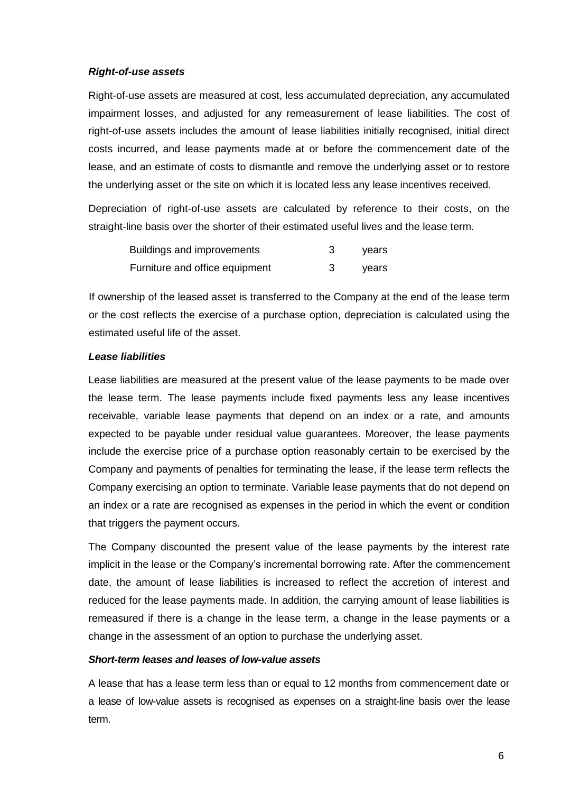## *Right-of-use assets*

Right-of-use assets are measured at cost, less accumulated depreciation, any accumulated impairment losses, and adjusted for any remeasurement of lease liabilities. The cost of right-of-use assets includes the amount of lease liabilities initially recognised, initial direct costs incurred, and lease payments made at or before the commencement date of the lease, and an estimate of costs to dismantle and remove the underlying asset or to restore the underlying asset or the site on which it is located less any lease incentives received.

Depreciation of right-of-use assets are calculated by reference to their costs, on the straight-line basis over the shorter of their estimated useful lives and the lease term.

| Buildings and improvements     | vears |
|--------------------------------|-------|
| Furniture and office equipment | years |

If ownership of the leased asset is transferred to the Company at the end of the lease term or the cost reflects the exercise of a purchase option, depreciation is calculated using the estimated useful life of the asset.

#### *Lease liabilities*

Lease liabilities are measured at the present value of the lease payments to be made over the lease term. The lease payments include fixed payments less any lease incentives receivable, variable lease payments that depend on an index or a rate, and amounts expected to be payable under residual value guarantees. Moreover, the lease payments include the exercise price of a purchase option reasonably certain to be exercised by the Company and payments of penalties for terminating the lease, if the lease term reflects the Company exercising an option to terminate. Variable lease payments that do not depend on an index or a rate are recognised as expenses in the period in which the event or condition that triggers the payment occurs.

The Company discounted the present value of the lease payments by the interest rate implicit in the lease or the Company's incremental borrowing rate. After the commencement date, the amount of lease liabilities is increased to reflect the accretion of interest and reduced for the lease payments made. In addition, the carrying amount of lease liabilities is remeasured if there is a change in the lease term, a change in the lease payments or a change in the assessment of an option to purchase the underlying asset.

## *Short-term leases and leases of low-value assets*

A lease that has a lease term less than or equal to 12 months from commencement date or a lease of low-value assets is recognised as expenses on a straight-line basis over the lease term.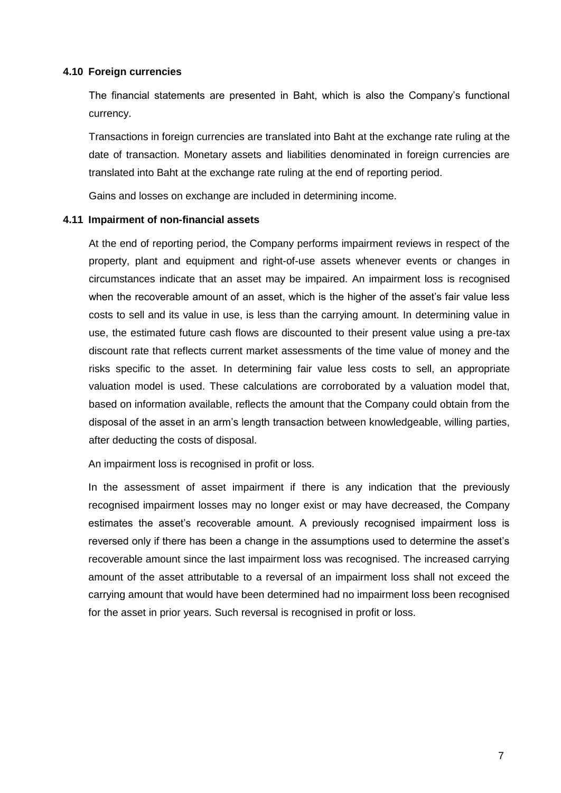#### **4.10 Foreign currencies**

The financial statements are presented in Baht, which is also the Company's functional currency.

Transactions in foreign currencies are translated into Baht at the exchange rate ruling at the date of transaction. Monetary assets and liabilities denominated in foreign currencies are translated into Baht at the exchange rate ruling at the end of reporting period.

Gains and losses on exchange are included in determining income.

#### **4.11 Impairment of non-financial assets**

At the end of reporting period, the Company performs impairment reviews in respect of the property, plant and equipment and right-of-use assets whenever events or changes in circumstances indicate that an asset may be impaired. An impairment loss is recognised when the recoverable amount of an asset, which is the higher of the asset's fair value less costs to sell and its value in use, is less than the carrying amount. In determining value in use, the estimated future cash flows are discounted to their present value using a pre-tax discount rate that reflects current market assessments of the time value of money and the risks specific to the asset. In determining fair value less costs to sell, an appropriate valuation model is used. These calculations are corroborated by a valuation model that, based on information available, reflects the amount that the Company could obtain from the disposal of the asset in an arm's length transaction between knowledgeable, willing parties, after deducting the costs of disposal.

An impairment loss is recognised in profit or loss.

In the assessment of asset impairment if there is any indication that the previously recognised impairment losses may no longer exist or may have decreased, the Company estimates the asset's recoverable amount. A previously recognised impairment loss is reversed only if there has been a change in the assumptions used to determine the asset's recoverable amount since the last impairment loss was recognised. The increased carrying amount of the asset attributable to a reversal of an impairment loss shall not exceed the carrying amount that would have been determined had no impairment loss been recognised for the asset in prior years. Such reversal is recognised in profit or loss.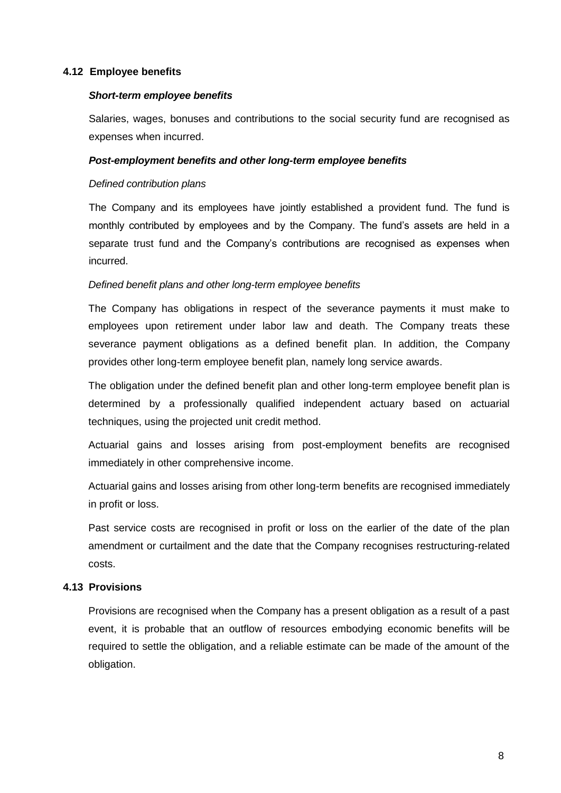## **4.12 Employee benefits**

#### *Short-term employee benefits*

Salaries, wages, bonuses and contributions to the social security fund are recognised as expenses when incurred.

#### *Post-employment benefits and other long-term employee benefits*

#### *Defined contribution plans*

The Company and its employees have jointly established a provident fund. The fund is monthly contributed by employees and by the Company. The fund's assets are held in a separate trust fund and the Company's contributions are recognised as expenses when incurred.

#### *Defined benefit plans and other long-term employee benefits*

The Company has obligations in respect of the severance payments it must make to employees upon retirement under labor law and death. The Company treats these severance payment obligations as a defined benefit plan. In addition, the Company provides other long-term employee benefit plan, namely long service awards.

The obligation under the defined benefit plan and other long-term employee benefit plan is determined by a professionally qualified independent actuary based on actuarial techniques, using the projected unit credit method.

Actuarial gains and losses arising from post-employment benefits are recognised immediately in other comprehensive income.

Actuarial gains and losses arising from other long-term benefits are recognised immediately in profit or loss.

Past service costs are recognised in profit or loss on the earlier of the date of the plan amendment or curtailment and the date that the Company recognises restructuring-related costs.

## **4.13 Provisions**

Provisions are recognised when the Company has a present obligation as a result of a past event, it is probable that an outflow of resources embodying economic benefits will be required to settle the obligation, and a reliable estimate can be made of the amount of the obligation.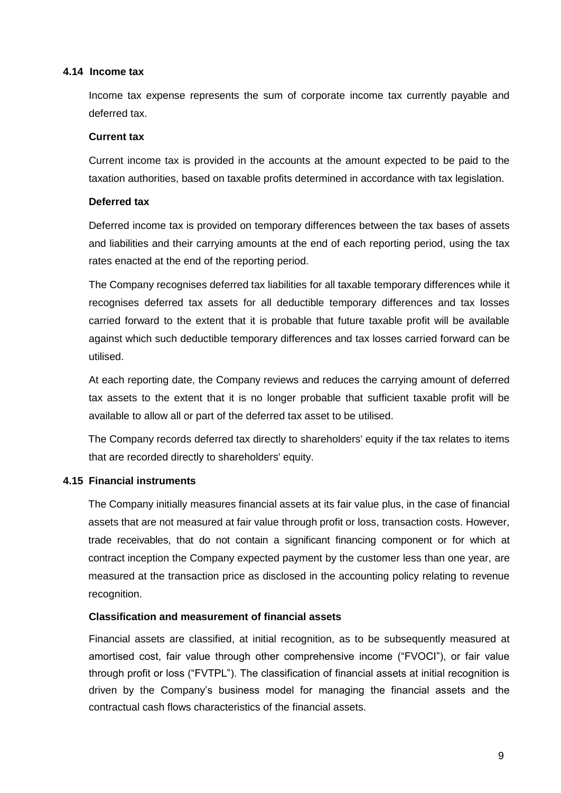#### **4.14 Income tax**

Income tax expense represents the sum of corporate income tax currently payable and deferred tax.

## **Current tax**

Current income tax is provided in the accounts at the amount expected to be paid to the taxation authorities, based on taxable profits determined in accordance with tax legislation.

# **Deferred tax**

Deferred income tax is provided on temporary differences between the tax bases of assets and liabilities and their carrying amounts at the end of each reporting period, using the tax rates enacted at the end of the reporting period.

The Company recognises deferred tax liabilities for all taxable temporary differences while it recognises deferred tax assets for all deductible temporary differences and tax losses carried forward to the extent that it is probable that future taxable profit will be available against which such deductible temporary differences and tax losses carried forward can be utilised.

At each reporting date, the Company reviews and reduces the carrying amount of deferred tax assets to the extent that it is no longer probable that sufficient taxable profit will be available to allow all or part of the deferred tax asset to be utilised.

The Company records deferred tax directly to shareholders' equity if the tax relates to items that are recorded directly to shareholders' equity.

# **4.15 Financial instruments**

The Company initially measures financial assets at its fair value plus, in the case of financial assets that are not measured at fair value through profit or loss, transaction costs. However, trade receivables, that do not contain a significant financing component or for which at contract inception the Company expected payment by the customer less than one year, are measured at the transaction price as disclosed in the accounting policy relating to revenue recognition.

# **Classification and measurement of financial assets**

Financial assets are classified, at initial recognition, as to be subsequently measured at amortised cost, fair value through other comprehensive income ("FVOCI"), or fair value through profit or loss ("FVTPL"). The classification of financial assets at initial recognition is driven by the Company's business model for managing the financial assets and the contractual cash flows characteristics of the financial assets.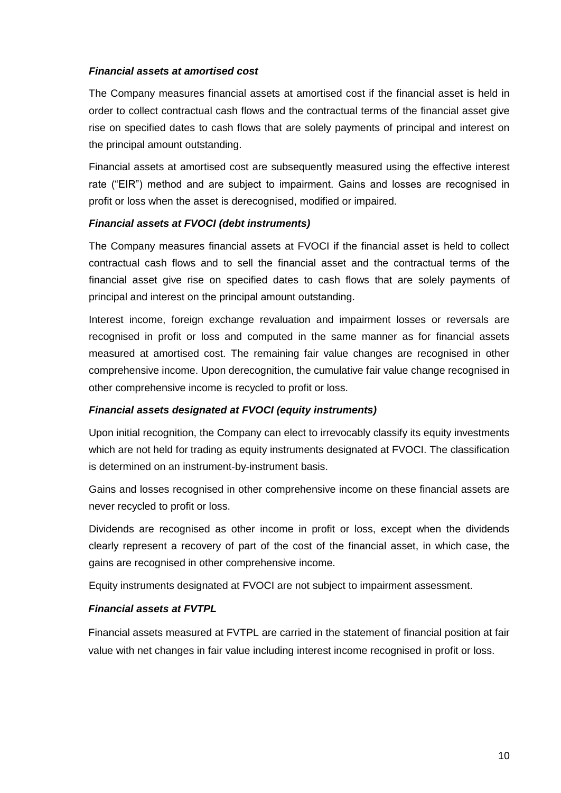# *Financial assets at amortised cost*

The Company measures financial assets at amortised cost if the financial asset is held in order to collect contractual cash flows and the contractual terms of the financial asset give rise on specified dates to cash flows that are solely payments of principal and interest on the principal amount outstanding.

Financial assets at amortised cost are subsequently measured using the effective interest rate ("EIR") method and are subject to impairment. Gains and losses are recognised in profit or loss when the asset is derecognised, modified or impaired.

## *Financial assets at FVOCI (debt instruments)*

The Company measures financial assets at FVOCI if the financial asset is held to collect contractual cash flows and to sell the financial asset and the contractual terms of the financial asset give rise on specified dates to cash flows that are solely payments of principal and interest on the principal amount outstanding.

Interest income, foreign exchange revaluation and impairment losses or reversals are recognised in profit or loss and computed in the same manner as for financial assets measured at amortised cost. The remaining fair value changes are recognised in other comprehensive income. Upon derecognition, the cumulative fair value change recognised in other comprehensive income is recycled to profit or loss.

# *Financial assets designated at FVOCI (equity instruments)*

Upon initial recognition, the Company can elect to irrevocably classify its equity investments which are not held for trading as equity instruments designated at FVOCI. The classification is determined on an instrument-by-instrument basis.

Gains and losses recognised in other comprehensive income on these financial assets are never recycled to profit or loss.

Dividends are recognised as other income in profit or loss, except when the dividends clearly represent a recovery of part of the cost of the financial asset, in which case, the gains are recognised in other comprehensive income.

Equity instruments designated at FVOCI are not subject to impairment assessment.

# *Financial assets at FVTPL*

Financial assets measured at FVTPL are carried in the statement of financial position at fair value with net changes in fair value including interest income recognised in profit or loss.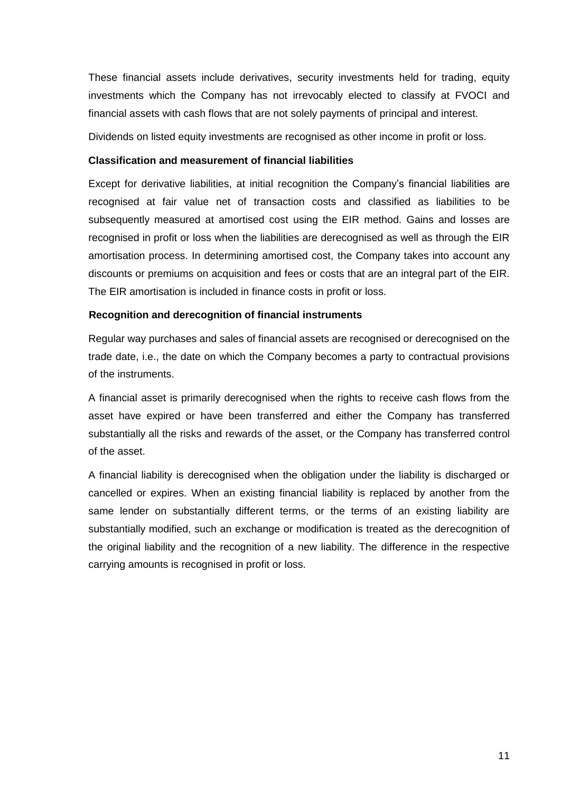These financial assets include derivatives, security investments held for trading, equity investments which the Company has not irrevocably elected to classify at FVOCI and financial assets with cash flows that are not solely payments of principal and interest.

Dividends on listed equity investments are recognised as other income in profit or loss.

# **Classification and measurement of financial liabilities**

Except for derivative liabilities, at initial recognition the Company's financial liabilities are recognised at fair value net of transaction costs and classified as liabilities to be subsequently measured at amortised cost using the EIR method. Gains and losses are recognised in profit or loss when the liabilities are derecognised as well as through the EIR amortisation process. In determining amortised cost, the Company takes into account any discounts or premiums on acquisition and fees or costs that are an integral part of the EIR. The EIR amortisation is included in finance costs in profit or loss.

# **Recognition and derecognition of financial instruments**

Regular way purchases and sales of financial assets are recognised or derecognised on the trade date, i.e., the date on which the Company becomes a party to contractual provisions of the instruments.

A financial asset is primarily derecognised when the rights to receive cash flows from the asset have expired or have been transferred and either the Company has transferred substantially all the risks and rewards of the asset, or the Company has transferred control of the asset.

A financial liability is derecognised when the obligation under the liability is discharged or cancelled or expires. When an existing financial liability is replaced by another from the same lender on substantially different terms, or the terms of an existing liability are substantially modified, such an exchange or modification is treated as the derecognition of the original liability and the recognition of a new liability. The difference in the respective carrying amounts is recognised in profit or loss.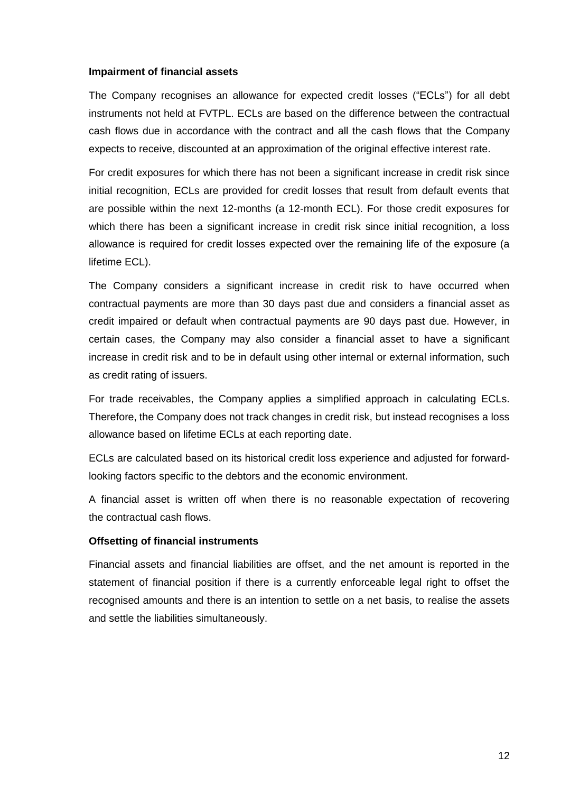#### **Impairment of financial assets**

The Company recognises an allowance for expected credit losses ("ECLs") for all debt instruments not held at FVTPL. ECLs are based on the difference between the contractual cash flows due in accordance with the contract and all the cash flows that the Company expects to receive, discounted at an approximation of the original effective interest rate.

For credit exposures for which there has not been a significant increase in credit risk since initial recognition, ECLs are provided for credit losses that result from default events that are possible within the next 12-months (a 12-month ECL). For those credit exposures for which there has been a significant increase in credit risk since initial recognition, a loss allowance is required for credit losses expected over the remaining life of the exposure (a lifetime ECL).

The Company considers a significant increase in credit risk to have occurred when contractual payments are more than 30 days past due and considers a financial asset as credit impaired or default when contractual payments are 90 days past due. However, in certain cases, the Company may also consider a financial asset to have a significant increase in credit risk and to be in default using other internal or external information, such as credit rating of issuers.

For trade receivables, the Company applies a simplified approach in calculating ECLs. Therefore, the Company does not track changes in credit risk, but instead recognises a loss allowance based on lifetime ECLs at each reporting date.

ECLs are calculated based on its historical credit loss experience and adjusted for forwardlooking factors specific to the debtors and the economic environment.

A financial asset is written off when there is no reasonable expectation of recovering the contractual cash flows.

## **Offsetting of financial instruments**

Financial assets and financial liabilities are offset, and the net amount is reported in the statement of financial position if there is a currently enforceable legal right to offset the recognised amounts and there is an intention to settle on a net basis, to realise the assets and settle the liabilities simultaneously.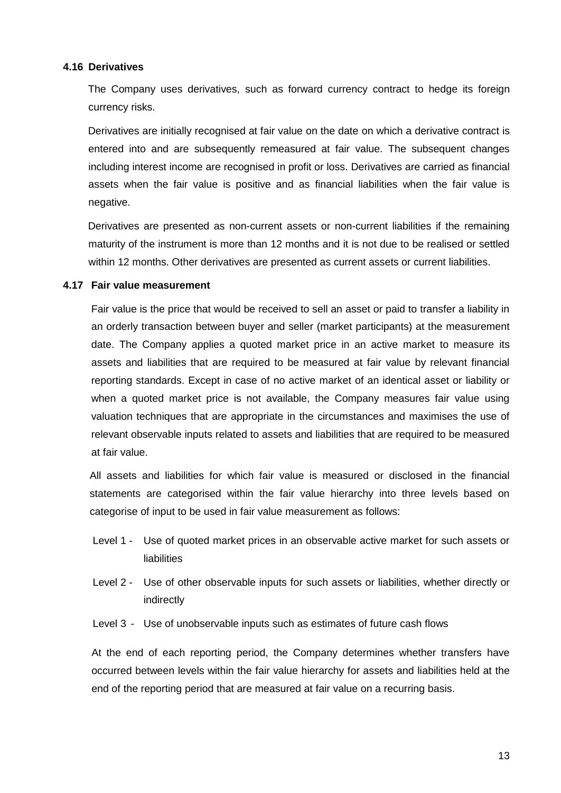#### **4.16 Derivatives**

The Company uses derivatives, such as forward currency contract to hedge its foreign currency risks.

Derivatives are initially recognised at fair value on the date on which a derivative contract is entered into and are subsequently remeasured at fair value. The subsequent changes including interest income are recognised in profit or loss. Derivatives are carried as financial assets when the fair value is positive and as financial liabilities when the fair value is negative.

Derivatives are presented as non-current assets or non-current liabilities if the remaining maturity of the instrument is more than 12 months and it is not due to be realised or settled within 12 months. Other derivatives are presented as current assets or current liabilities.

#### **4.17 Fair value measurement**

Fair value is the price that would be received to sell an asset or paid to transfer a liability in an orderly transaction between buyer and seller (market participants) at the measurement date. The Company applies a quoted market price in an active market to measure its assets and liabilities that are required to be measured at fair value by relevant financial reporting standards. Except in case of no active market of an identical asset or liability or when a quoted market price is not available, the Company measures fair value using valuation techniques that are appropriate in the circumstances and maximises the use of relevant observable inputs related to assets and liabilities that are required to be measured at fair value.

All assets and liabilities for which fair value is measured or disclosed in the financial statements are categorised within the fair value hierarchy into three levels based on categorise of input to be used in fair value measurement as follows:

- Level 1 Use of quoted market prices in an observable active market for such assets or **liabilities**
- Level 2 Use of other observable inputs for such assets or liabilities, whether directly or indirectly
- Level 3 Use of unobservable inputs such as estimates of future cash flows

At the end of each reporting period, the Company determines whether transfers have occurred between levels within the fair value hierarchy for assets and liabilities held at the end of the reporting period that are measured at fair value on a recurring basis.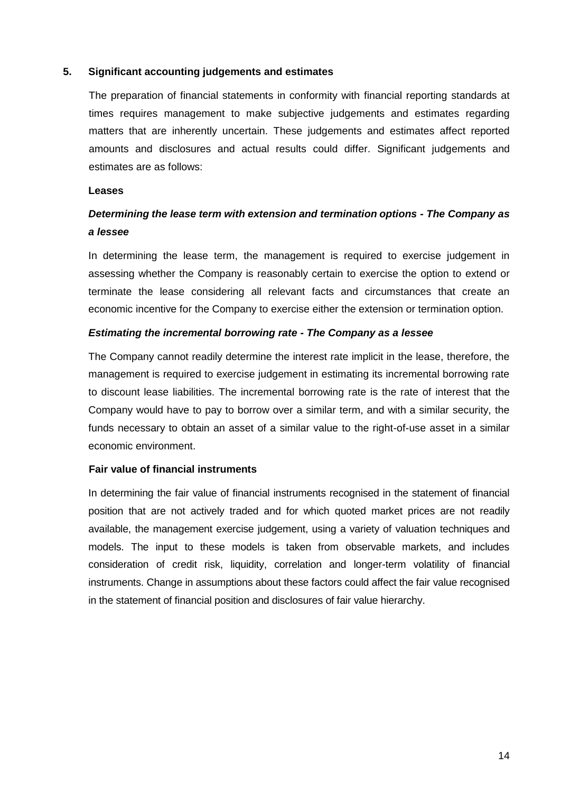## **5. Significant accounting judgements and estimates**

The preparation of financial statements in conformity with financial reporting standards at times requires management to make subjective judgements and estimates regarding matters that are inherently uncertain. These judgements and estimates affect reported amounts and disclosures and actual results could differ. Significant judgements and estimates are as follows:

#### **Leases**

# *Determining the lease term with extension and termination options - The Company as a lessee*

In determining the lease term, the management is required to exercise judgement in assessing whether the Company is reasonably certain to exercise the option to extend or terminate the lease considering all relevant facts and circumstances that create an economic incentive for the Company to exercise either the extension or termination option.

#### *Estimating the incremental borrowing rate - The Company as a lessee*

The Company cannot readily determine the interest rate implicit in the lease, therefore, the management is required to exercise judgement in estimating its incremental borrowing rate to discount lease liabilities. The incremental borrowing rate is the rate of interest that the Company would have to pay to borrow over a similar term, and with a similar security, the funds necessary to obtain an asset of a similar value to the right-of-use asset in a similar economic environment.

# **Fair value of financial instruments**

In determining the fair value of financial instruments recognised in the statement of financial position that are not actively traded and for which quoted market prices are not readily available, the management exercise judgement, using a variety of valuation techniques and models. The input to these models is taken from observable markets, and includes consideration of credit risk, liquidity, correlation and longer-term volatility of financial instruments. Change in assumptions about these factors could affect the fair value recognised in the statement of financial position and disclosures of fair value hierarchy.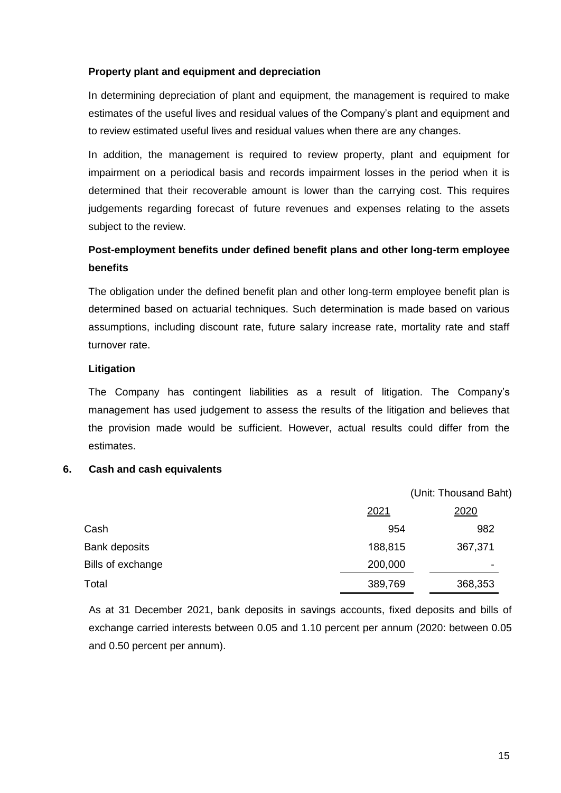# **Property plant and equipment and depreciation**

In determining depreciation of plant and equipment, the management is required to make estimates of the useful lives and residual values of the Company's plant and equipment and to review estimated useful lives and residual values when there are any changes.

In addition, the management is required to review property, plant and equipment for impairment on a periodical basis and records impairment losses in the period when it is determined that their recoverable amount is lower than the carrying cost. This requires judgements regarding forecast of future revenues and expenses relating to the assets subject to the review.

# **Post-employment benefits under defined benefit plans and other long-term employee benefits**

The obligation under the defined benefit plan and other long-term employee benefit plan is determined based on actuarial techniques. Such determination is made based on various assumptions, including discount rate, future salary increase rate, mortality rate and staff turnover rate.

# **Litigation**

The Company has contingent liabilities as a result of litigation. The Company's management has used judgement to assess the results of the litigation and believes that the provision made would be sufficient. However, actual results could differ from the estimates.

# **6. Cash and cash equivalents**

|                   |         | (Unit: Thousand Baht) |
|-------------------|---------|-----------------------|
|                   | 2021    | 2020                  |
| Cash              | 954     | 982                   |
| Bank deposits     | 188,815 | 367,371               |
| Bills of exchange | 200,000 |                       |
| Total             | 389,769 | 368,353               |

As at 31 December 2021, bank deposits in savings accounts, fixed deposits and bills of exchange carried interests between 0.05 and 1.10 percent per annum (2020: between 0.05 and 0.50 percent per annum).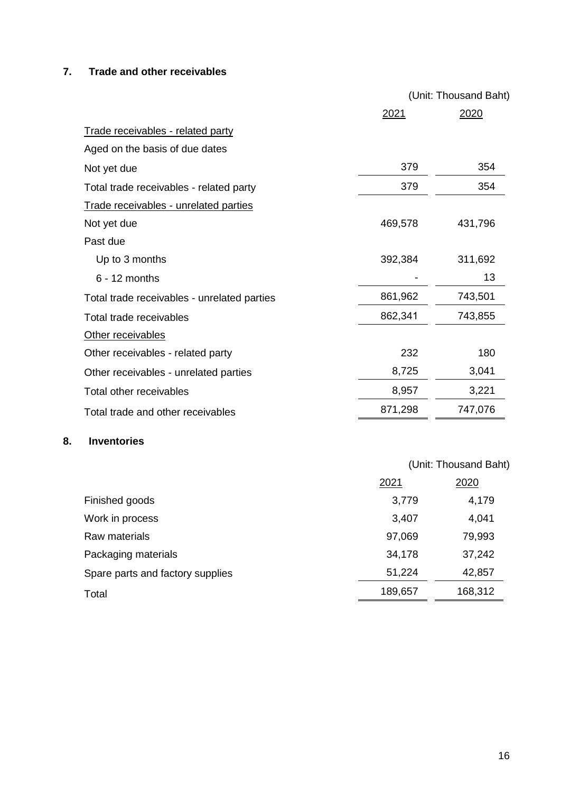# **7. Trade and other receivables**

(Unit: Thousand Baht)

|                                             | 2021    | 2020    |
|---------------------------------------------|---------|---------|
| <u>Trade receivables - related party</u>    |         |         |
| Aged on the basis of due dates              |         |         |
| Not yet due                                 | 379     | 354     |
| Total trade receivables - related party     | 379     | 354     |
| Trade receivables - unrelated parties       |         |         |
| Not yet due                                 | 469,578 | 431,796 |
| Past due                                    |         |         |
| Up to 3 months                              | 392,384 | 311,692 |
| $6 - 12$ months                             |         | 13      |
| Total trade receivables - unrelated parties | 861,962 | 743,501 |
| Total trade receivables                     | 862,341 | 743,855 |
| Other receivables                           |         |         |
| Other receivables - related party           | 232     | 180     |
| Other receivables - unrelated parties       | 8,725   | 3,041   |
| Total other receivables                     | 8,957   | 3,221   |
| Total trade and other receivables           | 871,298 | 747,076 |

# **8. Inventories**

|                                  | (Unit: Thousand Baht) |         |  |
|----------------------------------|-----------------------|---------|--|
|                                  | 2021                  | 2020    |  |
| Finished goods                   | 3,779                 | 4,179   |  |
| Work in process                  | 3,407                 | 4,041   |  |
| Raw materials                    | 97,069                | 79,993  |  |
| Packaging materials              | 34,178                | 37,242  |  |
| Spare parts and factory supplies | 51,224                | 42,857  |  |
| Total                            | 189,657               | 168,312 |  |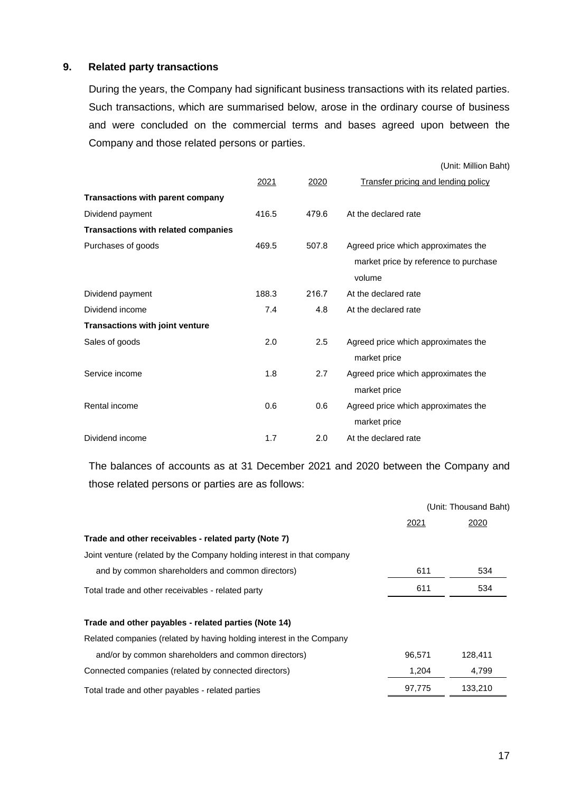### **9. Related party transactions**

During the years, the Company had significant business transactions with its related parties. Such transactions, which are summarised below, arose in the ordinary course of business and were concluded on the commercial terms and bases agreed upon between the Company and those related persons or parties.

|                                            |       |       | (Unit: Million Baht)                  |
|--------------------------------------------|-------|-------|---------------------------------------|
|                                            | 2021  | 2020  | Transfer pricing and lending policy   |
| <b>Transactions with parent company</b>    |       |       |                                       |
| Dividend payment                           | 416.5 | 479.6 | At the declared rate                  |
| <b>Transactions with related companies</b> |       |       |                                       |
| Purchases of goods                         | 469.5 | 507.8 | Agreed price which approximates the   |
|                                            |       |       | market price by reference to purchase |
|                                            |       |       | volume                                |
| Dividend payment                           | 188.3 | 216.7 | At the declared rate                  |
| Dividend income                            | 7.4   | 4.8   | At the declared rate                  |
| <b>Transactions with joint venture</b>     |       |       |                                       |
| Sales of goods                             | 2.0   | 2.5   | Agreed price which approximates the   |
|                                            |       |       | market price                          |
| Service income                             | 1.8   | 2.7   | Agreed price which approximates the   |
|                                            |       |       | market price                          |
| Rental income                              | 0.6   | 0.6   | Agreed price which approximates the   |
|                                            |       |       | market price                          |
| Dividend income                            | 1.7   | 2.0   | At the declared rate                  |

The balances of accounts as at 31 December 2021 and 2020 between the Company and those related persons or parties are as follows:

|                                                                        |        | (Unit: Thousand Baht) |
|------------------------------------------------------------------------|--------|-----------------------|
|                                                                        | 2021   | 2020                  |
| Trade and other receivables - related party (Note 7)                   |        |                       |
| Joint venture (related by the Company holding interest in that company |        |                       |
| and by common shareholders and common directors)                       | 611    | 534                   |
| Total trade and other receivables - related party                      | 611    | 534                   |
| Trade and other payables - related parties (Note 14)                   |        |                       |
| Related companies (related by having holding interest in the Company   |        |                       |
| and/or by common shareholders and common directors)                    | 96,571 | 128,411               |
| Connected companies (related by connected directors)                   | 1,204  | 4,799                 |
| Total trade and other payables - related parties                       | 97,775 | 133,210               |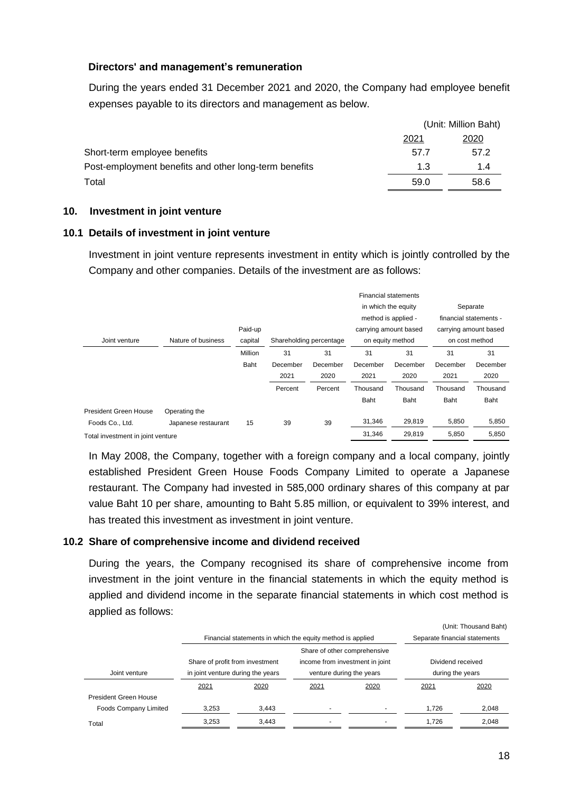# **Directors' and management's remuneration**

During the years ended 31 December 2021 and 2020, the Company had employee benefit expenses payable to its directors and management as below.

|                                                       |      | (Unit: Million Baht) |
|-------------------------------------------------------|------|----------------------|
|                                                       | 2021 | 2020                 |
| Short-term employee benefits                          | 57.7 | 57.2                 |
| Post-employment benefits and other long-term benefits | 1.3  | 1.4                  |
| Total                                                 | 59.0 | 58.6                 |

## **10. Investment in joint venture**

## **10.1 Details of investment in joint venture**

Investment in joint venture represents investment in entity which is jointly controlled by the Company and other companies. Details of the investment are as follows:

|                                   |                                                          |         |          |          |                  | <b>Financial statements</b> |                       |                        |
|-----------------------------------|----------------------------------------------------------|---------|----------|----------|------------------|-----------------------------|-----------------------|------------------------|
|                                   |                                                          |         |          |          |                  | in which the equity         | Separate              |                        |
|                                   |                                                          |         |          |          |                  | method is applied -         |                       | financial statements - |
|                                   |                                                          | Paid-up |          |          |                  | carrying amount based       | carrying amount based |                        |
| Joint venture                     | Nature of business<br>Shareholding percentage<br>capital |         |          |          | on equity method | on cost method              |                       |                        |
|                                   |                                                          | Million | 31       | 31       | 31               | 31                          | 31                    | 31                     |
|                                   |                                                          | Baht    | December | December | December         | December                    | December              | December               |
|                                   |                                                          |         | 2021     | 2020     | 2021             | 2020                        | 2021                  | 2020                   |
|                                   |                                                          |         | Percent  | Percent  | Thousand         | Thousand                    | Thousand              | Thousand               |
|                                   |                                                          |         |          |          | Baht             | Baht                        | Baht                  | Baht                   |
| <b>President Green House</b>      | Operating the                                            |         |          |          |                  |                             |                       |                        |
| Foods Co., Ltd.                   | Japanese restaurant                                      | 15      | 39       | 39       | 31,346           | 29,819                      | 5,850                 | 5,850                  |
| Total investment in joint venture |                                                          |         |          |          | 31.346           | 29,819                      | 5,850                 | 5,850                  |
|                                   |                                                          |         |          |          |                  |                             |                       |                        |

In May 2008, the Company, together with a foreign company and a local company, jointly established President Green House Foods Company Limited to operate a Japanese restaurant. The Company had invested in 585,000 ordinary shares of this company at par value Baht 10 per share, amounting to Baht 5.85 million, or equivalent to 39% interest, and has treated this investment as investment in joint venture.

# **10.2 Share of comprehensive income and dividend received**

During the years, the Company recognised its share of comprehensive income from investment in the joint venture in the financial statements in which the equity method is applied and dividend income in the separate financial statements in which cost method is applied as follows:

|                       |                                   |                                                            |                                                             |      |                               | (Unit: Thousand Baht) |  |
|-----------------------|-----------------------------------|------------------------------------------------------------|-------------------------------------------------------------|------|-------------------------------|-----------------------|--|
|                       |                                   | Financial statements in which the equity method is applied |                                                             |      | Separate financial statements |                       |  |
|                       |                                   |                                                            | Share of other comprehensive                                |      |                               |                       |  |
|                       | Share of profit from investment   |                                                            | income from investment in joint<br>venture during the years |      | Dividend received             |                       |  |
| Joint venture         | in joint venture during the years |                                                            |                                                             |      | during the years              |                       |  |
|                       | 2021                              | 2020                                                       | 2021                                                        | 2020 | 2021                          | 2020                  |  |
| President Green House |                                   |                                                            |                                                             |      |                               |                       |  |
| Foods Company Limited | 3.253                             | 3,443                                                      |                                                             |      | 1,726                         | 2,048                 |  |
| Total                 | 3.253                             | 3.443                                                      | $\overline{\phantom{0}}$                                    |      | 1.726                         | 2,048                 |  |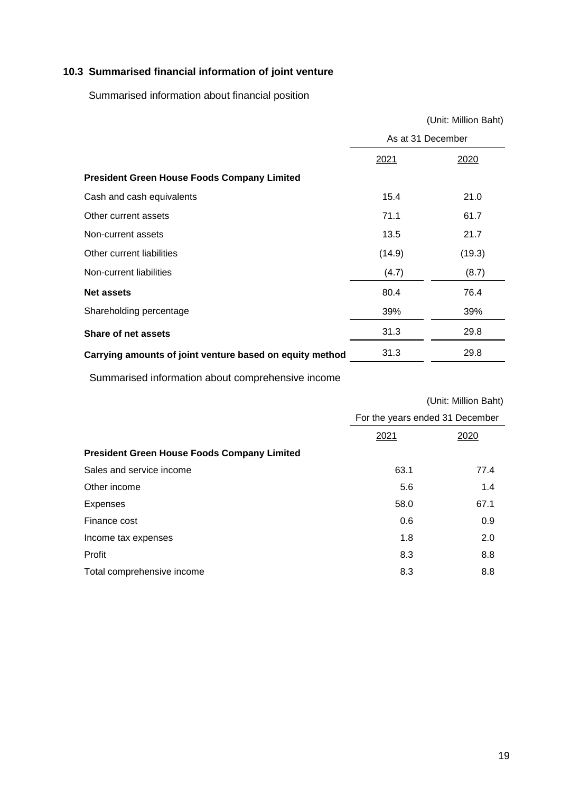# **10.3 Summarised financial information of joint venture**

Summarised information about financial position

|                                                                  | (Unit: Million Baht) |        |  |
|------------------------------------------------------------------|----------------------|--------|--|
|                                                                  | As at 31 December    |        |  |
|                                                                  | 2021                 | 2020   |  |
| <b>President Green House Foods Company Limited</b>               |                      |        |  |
| Cash and cash equivalents                                        | 15.4                 | 21.0   |  |
| Other current assets                                             | 71.1                 | 61.7   |  |
| Non-current assets                                               | 13.5                 | 21.7   |  |
| Other current liabilities                                        | (14.9)               | (19.3) |  |
| Non-current liabilities                                          | (4.7)                | (8.7)  |  |
| <b>Net assets</b>                                                | 80.4                 | 76.4   |  |
| Shareholding percentage                                          | 39%                  | 39%    |  |
| Share of net assets                                              | 31.3                 | 29.8   |  |
| 31.3<br>Carrying amounts of joint venture based on equity method |                      |        |  |

Summarised information about comprehensive income

|                                                    | (Unit: Million Baht)            |      |  |
|----------------------------------------------------|---------------------------------|------|--|
|                                                    | For the years ended 31 December |      |  |
|                                                    | 2021<br>2020                    |      |  |
| <b>President Green House Foods Company Limited</b> |                                 |      |  |
| Sales and service income                           | 63.1                            | 77.4 |  |
| Other income                                       | 5.6                             | 1.4  |  |
| <b>Expenses</b>                                    | 58.0                            | 67.1 |  |
| Finance cost                                       | 0.6                             | 0.9  |  |
| Income tax expenses                                | 1.8                             | 2.0  |  |
| Profit                                             | 8.3                             | 8.8  |  |
| Total comprehensive income                         | 8.3                             | 8.8  |  |
|                                                    |                                 |      |  |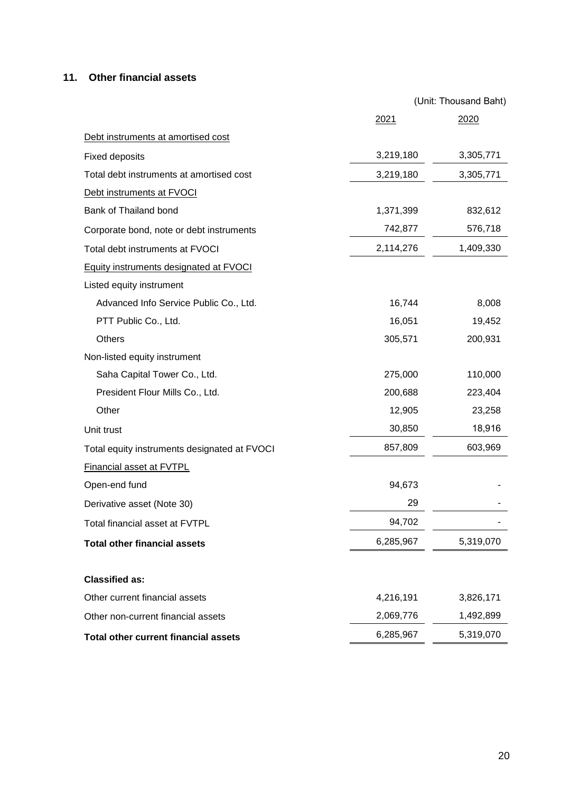# **11. Other financial assets**

(Unit: Thousand Baht)

|                                               | 2021      | 2020      |
|-----------------------------------------------|-----------|-----------|
| Debt instruments at amortised cost            |           |           |
| <b>Fixed deposits</b>                         | 3,219,180 | 3,305,771 |
| Total debt instruments at amortised cost      | 3,219,180 | 3,305,771 |
| Debt instruments at FVOCI                     |           |           |
| Bank of Thailand bond                         | 1,371,399 | 832,612   |
| Corporate bond, note or debt instruments      | 742,877   | 576,718   |
| Total debt instruments at FVOCI               | 2,114,276 | 1,409,330 |
| <b>Equity instruments designated at FVOCI</b> |           |           |
| Listed equity instrument                      |           |           |
| Advanced Info Service Public Co., Ltd.        | 16,744    | 8,008     |
| PTT Public Co., Ltd.                          | 16,051    | 19,452    |
| <b>Others</b>                                 | 305,571   | 200,931   |
| Non-listed equity instrument                  |           |           |
| Saha Capital Tower Co., Ltd.                  | 275,000   | 110,000   |
| President Flour Mills Co., Ltd.               | 200,688   | 223,404   |
| Other                                         | 12,905    | 23,258    |
| Unit trust                                    | 30,850    | 18,916    |
| Total equity instruments designated at FVOCI  | 857,809   | 603,969   |
| <b>Financial asset at FVTPL</b>               |           |           |
| Open-end fund                                 | 94,673    |           |
| Derivative asset (Note 30)                    | 29        |           |
| Total financial asset at FVTPL                | 94,702    |           |
| <b>Total other financial assets</b>           | 6,285,967 | 5,319,070 |
|                                               |           |           |
| <b>Classified as:</b>                         |           |           |
| Other current financial assets                | 4,216,191 | 3,826,171 |
| Other non-current financial assets            | 2,069,776 | 1,492,899 |
| <b>Total other current financial assets</b>   | 6,285,967 | 5,319,070 |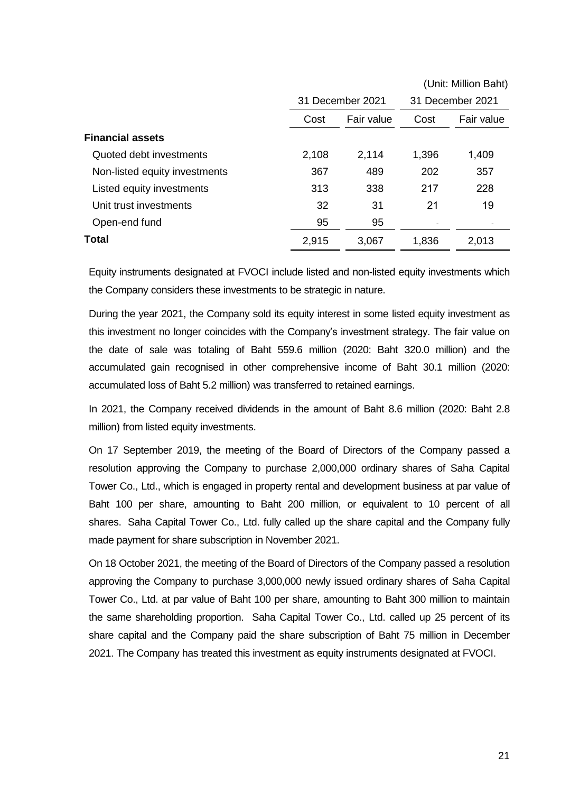|                               |                    |       | (Unit: Million Baht) |                  |  |  |
|-------------------------------|--------------------|-------|----------------------|------------------|--|--|
|                               | 31 December 2021   |       |                      | 31 December 2021 |  |  |
|                               | Fair value<br>Cost |       | Cost                 | Fair value       |  |  |
| <b>Financial assets</b>       |                    |       |                      |                  |  |  |
| Quoted debt investments       | 2,108              | 2,114 | 1,396                | 1,409            |  |  |
| Non-listed equity investments | 367                | 489   | 202                  | 357              |  |  |
| Listed equity investments     | 313                | 338   | 217                  | 228              |  |  |
| Unit trust investments        | 32                 | 31    | 21                   | 19               |  |  |
| Open-end fund                 | 95                 | 95    |                      |                  |  |  |
| <b>Total</b>                  | 2,915              | 3,067 | 1,836                | 2,013            |  |  |

Equity instruments designated at FVOCI include listed and non-listed equity investments which the Company considers these investments to be strategic in nature.

During the year 2021, the Company sold its equity interest in some listed equity investment as this investment no longer coincides with the Company's investment strategy. The fair value on the date of sale was totaling of Baht 559.6 million (2020: Baht 320.0 million) and the accumulated gain recognised in other comprehensive income of Baht 30.1 million (2020: accumulated loss of Baht 5.2 million) was transferred to retained earnings.

In 2021, the Company received dividends in the amount of Baht 8.6 million (2020: Baht 2.8 million) from listed equity investments.

On 17 September 2019, the meeting of the Board of Directors of the Company passed a resolution approving the Company to purchase 2,000,000 ordinary shares of Saha Capital Tower Co., Ltd., which is engaged in property rental and development business at par value of Baht 100 per share, amounting to Baht 200 million, or equivalent to 10 percent of all shares. Saha Capital Tower Co., Ltd. fully called up the share capital and the Company fully made payment for share subscription in November 2021.

On 18 October 2021, the meeting of the Board of Directors of the Company passed a resolution approving the Company to purchase 3,000,000 newly issued ordinary shares of Saha Capital Tower Co., Ltd. at par value of Baht 100 per share, amounting to Baht 300 million to maintain the same shareholding proportion. Saha Capital Tower Co., Ltd. called up 25 percent of its share capital and the Company paid the share subscription of Baht 75 million in December 2021. The Company has treated this investment as equity instruments designated at FVOCI.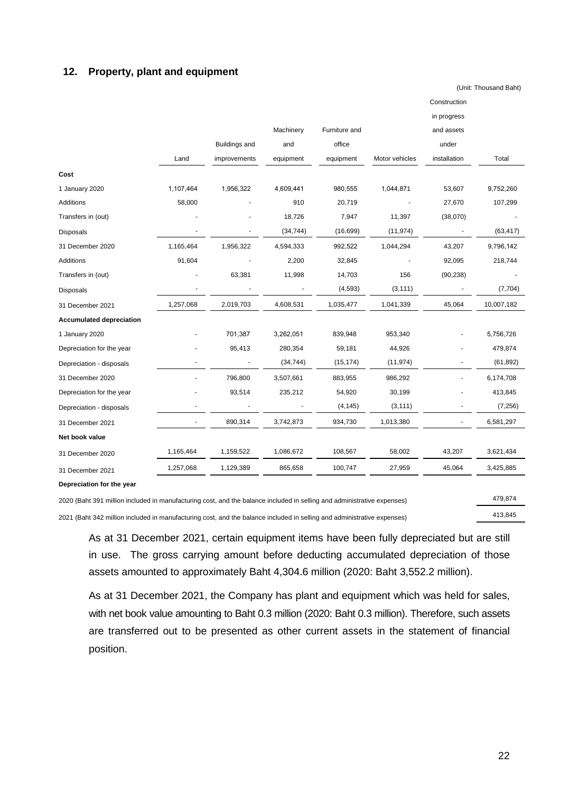#### **12. Property, plant and equipment**

|                                 |           |                      |           |               |                | Construction |            |
|---------------------------------|-----------|----------------------|-----------|---------------|----------------|--------------|------------|
|                                 |           |                      |           |               |                | in progress  |            |
|                                 |           |                      | Machinery | Furniture and |                | and assets   |            |
|                                 |           | <b>Buildings and</b> | and       | office        |                | under        |            |
|                                 | Land      | improvements         | equipment | equipment     | Motor vehicles | installation | Total      |
| Cost                            |           |                      |           |               |                |              |            |
| 1 January 2020                  | 1,107,464 | 1,956,322            | 4,609,441 | 980,555       | 1,044,871      | 53,607       | 9,752,260  |
| <b>Additions</b>                | 58,000    |                      | 910       | 20,719        |                | 27,670       | 107,299    |
| Transfers in (out)              |           |                      | 18,726    | 7,947         | 11,397         | (38,070)     |            |
| Disposals                       |           |                      | (34, 744) | (16, 699)     | (11, 974)      |              | (63, 417)  |
| 31 December 2020                | 1,165,464 | 1,956,322            | 4,594,333 | 992,522       | 1,044,294      | 43,207       | 9,796,142  |
| Additions                       | 91,604    |                      | 2,200     | 32,845        |                | 92,095       | 218,744    |
| Transfers in (out)              |           | 63,381               | 11,998    | 14,703        | 156            | (90, 238)    |            |
| Disposals                       |           |                      |           | (4, 593)      | (3, 111)       |              | (7,704)    |
| 31 December 2021                | 1,257,068 | 2,019,703            | 4,608,531 | 1,035,477     | 1,041,339      | 45,064       | 10,007,182 |
| <b>Accumulated depreciation</b> |           |                      |           |               |                |              |            |
| 1 January 2020                  |           | 701,387              | 3,262,051 | 839,948       | 953,340        |              | 5,756,726  |
| Depreciation for the year       |           | 95,413               | 280,354   | 59,181        | 44,926         |              | 479,874    |
| Depreciation - disposals        |           |                      | (34, 744) | (15, 174)     | (11, 974)      |              | (61, 892)  |
| 31 December 2020                |           | 796,800              | 3,507,661 | 883,955       | 986,292        |              | 6,174,708  |
| Depreciation for the year       |           | 93,514               | 235,212   | 54,920        | 30,199         |              | 413,845    |
| Depreciation - disposals        |           |                      |           | (4, 145)      | (3, 111)       |              | (7, 256)   |
| 31 December 2021                |           | 890,314              | 3,742,873 | 934,730       | 1,013,380      |              | 6,581,297  |
| Net book value                  |           |                      |           |               |                |              |            |
| 31 December 2020                | 1,165,464 | 1,159,522            | 1,086,672 | 108,567       | 58,002         | 43,207       | 3,621,434  |
| 31 December 2021                | 1,257,068 | 1,129,389            | 865,658   | 100,747       | 27,959         | 45,064       | 3,425,885  |
|                                 |           |                      |           |               |                |              |            |

**Depreciation for the year**

2020 (Baht 391 million included in manufacturing cost, and the balance included in selling and administrative expenses) 479,874

2021 (Baht 342 million included in manufacturing cost, and the balance included in selling and administrative expenses) 413,845

(Unit: Thousand Baht)

As at 31 December 2021, certain equipment items have been fully depreciated but are still in use. The gross carrying amount before deducting accumulated depreciation of those assets amounted to approximately Baht 4,304.6 million (2020: Baht 3,552.2 million).

As at 31 December 2021, the Company has plant and equipment which was held for sales, with net book value amounting to Baht 0.3 million (2020: Baht 0.3 million). Therefore, such assets are transferred out to be presented as other current assets in the statement of financial position.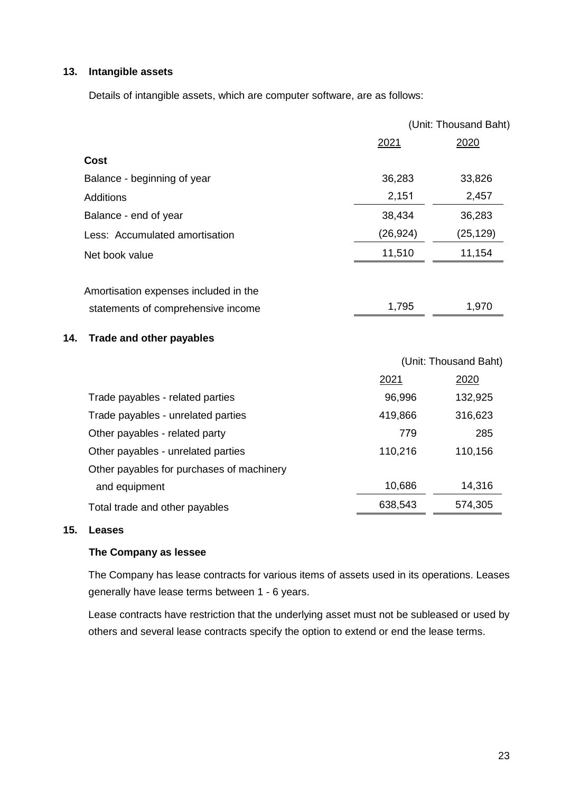# **13. Intangible assets**

Details of intangible assets, which are computer software, are as follows:

|                                           | (Unit: Thousand Baht) |                       |  |
|-------------------------------------------|-----------------------|-----------------------|--|
|                                           | 2021                  | 2020                  |  |
| <b>Cost</b>                               |                       |                       |  |
| Balance - beginning of year               | 36,283                | 33,826                |  |
| <b>Additions</b>                          | 2,151                 | 2,457                 |  |
| Balance - end of year                     | 38,434                | 36,283                |  |
| Less: Accumulated amortisation            | (26, 924)             | (25, 129)             |  |
| Net book value                            | 11,510                | 11,154                |  |
| Amortisation expenses included in the     |                       |                       |  |
| statements of comprehensive income        | 1,795                 | 1,970                 |  |
| <b>Trade and other payables</b><br>14.    |                       |                       |  |
|                                           |                       | (Unit: Thousand Baht) |  |
|                                           | 2021                  | 2020                  |  |
| Trade payables - related parties          | 96,996                | 132,925               |  |
| Trade payables - unrelated parties        | 419,866               | 316,623               |  |
| Other payables - related party            | 779                   | 285                   |  |
| Other payables - unrelated parties        | 110,216               | 110,156               |  |
| Other payables for purchases of machinery |                       |                       |  |
| and equipment                             | 10,686                | 14,316                |  |
| Total trade and other payables            | 638,543               | 574,305               |  |
|                                           |                       |                       |  |

# **15. Leases**

#### **The Company as lessee**

The Company has lease contracts for various items of assets used in its operations. Leases generally have lease terms between 1 - 6 years.

Lease contracts have restriction that the underlying asset must not be subleased or used by others and several lease contracts specify the option to extend or end the lease terms.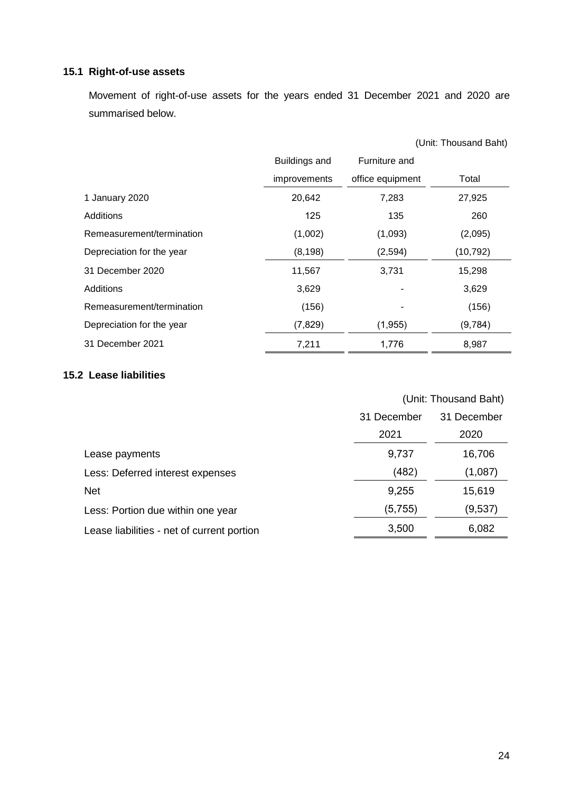# **15.1 Right-of-use assets**

Movement of right-of-use assets for the years ended 31 December 2021 and 2020 are summarised below.

|                           |               |                  | (Unit: Thousand Baht) |
|---------------------------|---------------|------------------|-----------------------|
|                           | Buildings and | Furniture and    |                       |
|                           | improvements  | office equipment | Total                 |
| 1 January 2020            | 20,642        | 7,283            | 27,925                |
| Additions                 | 125           | 135              | 260                   |
| Remeasurement/termination | (1,002)       | (1,093)          | (2,095)               |
| Depreciation for the year | (8, 198)      | (2,594)          | (10, 792)             |
| 31 December 2020          | 11,567        | 3,731            | 15,298                |
| Additions                 | 3,629         |                  | 3,629                 |
| Remeasurement/termination | (156)         |                  | (156)                 |
| Depreciation for the year | (7,829)       | (1,955)          | (9,784)               |
| 31 December 2021          | 7,211         | 1,776            | 8,987                 |

## **15.2 Lease liabilities**

|                                            | (Unit: Thousand Baht)      |         |  |
|--------------------------------------------|----------------------------|---------|--|
|                                            | 31 December<br>31 December |         |  |
|                                            | 2021<br>2020               |         |  |
| Lease payments                             | 9,737<br>16,706            |         |  |
| Less: Deferred interest expenses           | (482)<br>(1,087)           |         |  |
| <b>Net</b>                                 | 9,255                      | 15,619  |  |
| Less: Portion due within one year          | (5,755)                    | (9,537) |  |
| Lease liabilities - net of current portion | 3,500<br>6,082             |         |  |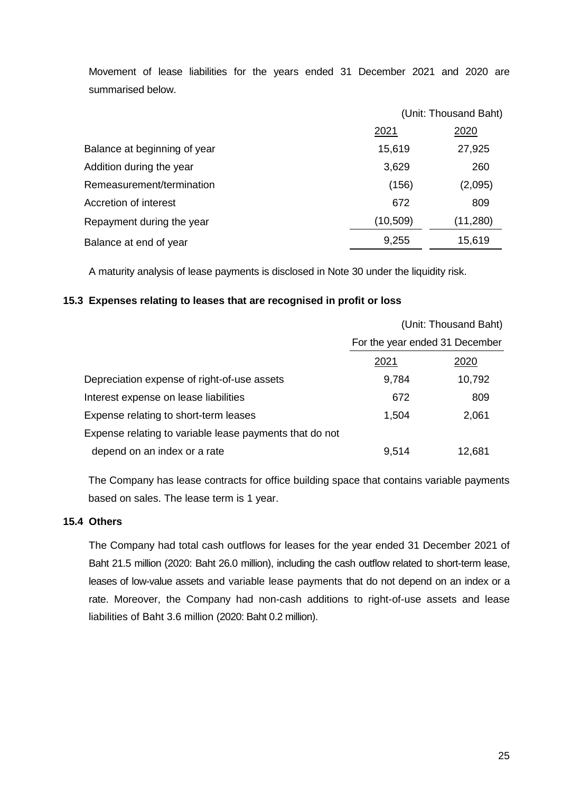Movement of lease liabilities for the years ended 31 December 2021 and 2020 are summarised below.

|                              | (Unit: Thousand Baht) |           |  |
|------------------------------|-----------------------|-----------|--|
|                              | 2021                  | 2020      |  |
| Balance at beginning of year | 15,619                | 27,925    |  |
| Addition during the year     | 3,629                 | 260       |  |
| Remeasurement/termination    | (156)                 | (2,095)   |  |
| Accretion of interest        | 672                   | 809       |  |
| Repayment during the year    | (10, 509)             | (11, 280) |  |
| Balance at end of year       | 9,255                 | 15,619    |  |

A maturity analysis of lease payments is disclosed in Note 30 under the liquidity risk.

# **15.3 Expenses relating to leases that are recognised in profit or loss**

|                                                         | (Unit: Thousand Baht)          |        |  |
|---------------------------------------------------------|--------------------------------|--------|--|
|                                                         | For the year ended 31 December |        |  |
|                                                         | 2021                           | 2020   |  |
| Depreciation expense of right-of-use assets             | 9,784                          | 10,792 |  |
| Interest expense on lease liabilities                   | 672                            | 809    |  |
| Expense relating to short-term leases                   | 1,504                          | 2,061  |  |
| Expense relating to variable lease payments that do not |                                |        |  |
| depend on an index or a rate                            | 9,514                          | 12,681 |  |

The Company has lease contracts for office building space that contains variable payments based on sales. The lease term is 1 year.

# **15.4 Others**

The Company had total cash outflows for leases for the year ended 31 December 2021 of Baht 21.5 million (2020: Baht 26.0 million), including the cash outflow related to short-term lease, leases of low-value assets and variable lease payments that do not depend on an index or a rate. Moreover, the Company had non-cash additions to right-of-use assets and lease liabilities of Baht 3.6 million (2020: Baht 0.2 million).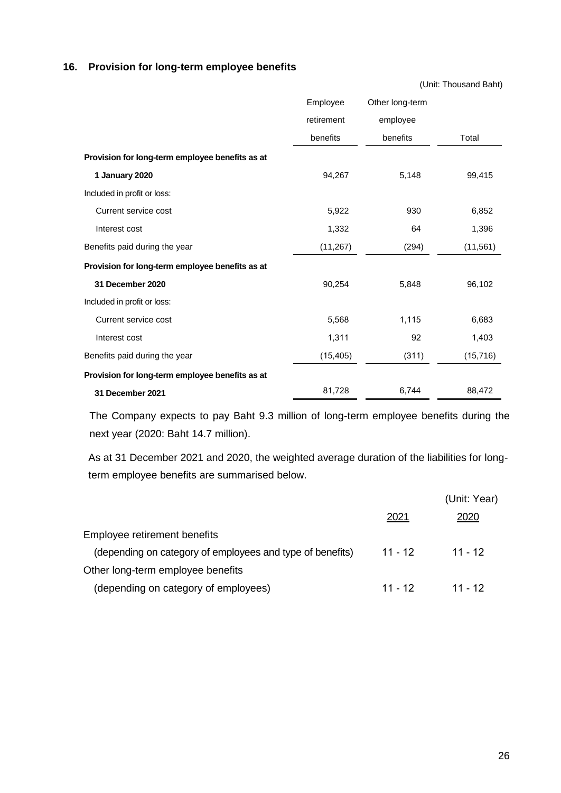# **16. Provision for long-term employee benefits**

(Unit: Thousand Baht)

|                                                 | Employee<br>retirement | Other long-term<br>employee |           |
|-------------------------------------------------|------------------------|-----------------------------|-----------|
|                                                 | benefits               | benefits                    | Total     |
| Provision for long-term employee benefits as at |                        |                             |           |
| 1 January 2020                                  | 94,267                 | 5,148                       | 99,415    |
| Included in profit or loss:                     |                        |                             |           |
| Current service cost                            | 5,922                  | 930                         | 6,852     |
| Interest cost                                   | 1,332                  | 64                          | 1,396     |
| Benefits paid during the year                   | (11, 267)              | (294)                       | (11, 561) |
| Provision for long-term employee benefits as at |                        |                             |           |
| 31 December 2020                                | 90,254                 | 5,848                       | 96,102    |
| Included in profit or loss:                     |                        |                             |           |
| Current service cost                            | 5,568                  | 1,115                       | 6,683     |
| Interest cost                                   | 1,311                  | 92                          | 1,403     |
| Benefits paid during the year                   | (15, 405)              | (311)                       | (15, 716) |
| Provision for long-term employee benefits as at |                        |                             |           |
| 31 December 2021                                | 81,728                 | 6,744                       | 88,472    |

The Company expects to pay Baht 9.3 million of long-term employee benefits during the next year (2020: Baht 14.7 million).

As at 31 December 2021 and 2020, the weighted average duration of the liabilities for longterm employee benefits are summarised below.

|                                                           |           | (Unit: Year) |
|-----------------------------------------------------------|-----------|--------------|
|                                                           | 2021      | 2020         |
| Employee retirement benefits                              |           |              |
| (depending on category of employees and type of benefits) | $11 - 12$ | $11 - 12$    |
| Other long-term employee benefits                         |           |              |
| (depending on category of employees)                      | 11 - 12   | 11 - 12      |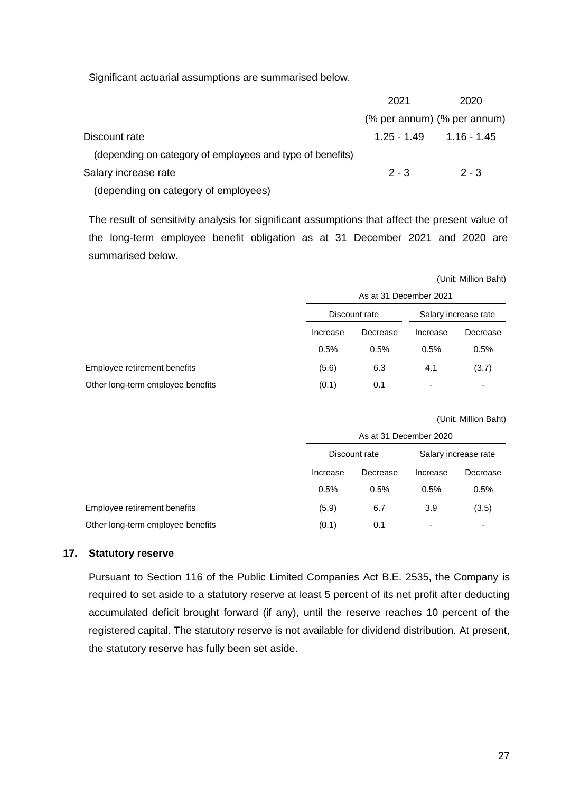Significant actuarial assumptions are summarised below.

|                                                           | 2021                        | 2020    |
|-----------------------------------------------------------|-----------------------------|---------|
|                                                           | (% per annum) (% per annum) |         |
| Discount rate                                             | $1.25 - 1.49$ $1.16 - 1.45$ |         |
| (depending on category of employees and type of benefits) |                             |         |
| Salary increase rate                                      | $2 - 3$                     | $2 - 3$ |
| (depending on category of employees)                      |                             |         |

The result of sensitivity analysis for significant assumptions that affect the present value of the long-term employee benefit obligation as at 31 December 2021 and 2020 are summarised below.

|                        |          |               | (UNIIL MIIIIUN DANI) |
|------------------------|----------|---------------|----------------------|
| As at 31 December 2021 |          |               |                      |
|                        |          |               | Salary increase rate |
| Increase               | Decrease | Increase      | Decrease             |
| 0.5%                   | 0.5%     | 0.5%          | 0.5%                 |
| (5.6)                  | 6.3      | 4.1           | (3.7)                |
| (0.1)                  | 0.1      | ۰             |                      |
|                        |          | Discount rate |                      |

(Unit: Million Baht)

 $U(x)$  Million Baht)

|                                   | As at 31 December 2020 |          |                          |          |
|-----------------------------------|------------------------|----------|--------------------------|----------|
|                                   | Discount rate          |          | Salary increase rate     |          |
|                                   | Increase               | Decrease | Increase                 | Decrease |
|                                   | 0.5%                   | 0.5%     | 0.5%                     | 0.5%     |
| Employee retirement benefits      | (5.9)                  | 6.7      | 3.9                      | (3.5)    |
| Other long-term employee benefits | (0.1)                  | 0.1      | $\overline{\phantom{0}}$ | ٠        |

# **17. Statutory reserve**

Pursuant to Section 116 of the Public Limited Companies Act B.E. 2535, the Company is required to set aside to a statutory reserve at least 5 percent of its net profit after deducting accumulated deficit brought forward (if any), until the reserve reaches 10 percent of the registered capital. The statutory reserve is not available for dividend distribution. At present, the statutory reserve has fully been set aside.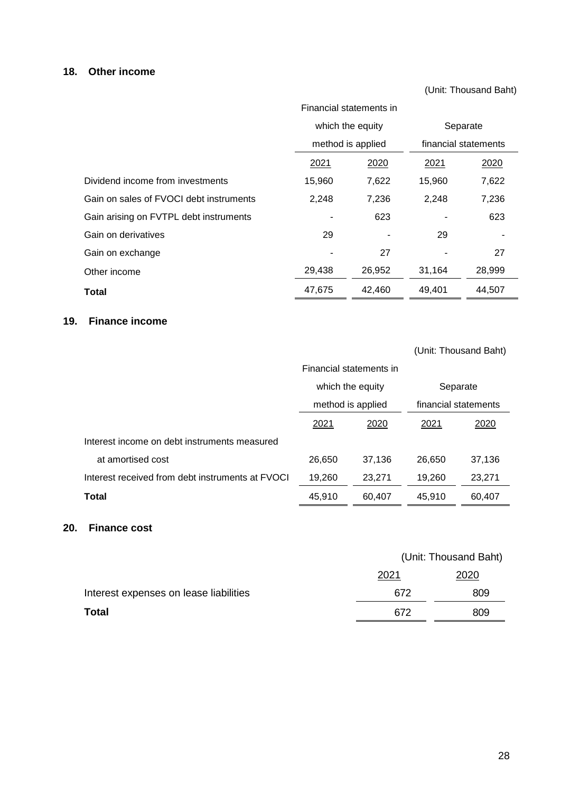#### **18. Other income**

# (Unit: Thousand Baht)

|                                         | Financial statements in |                   |        |                      |
|-----------------------------------------|-------------------------|-------------------|--------|----------------------|
|                                         |                         | which the equity  |        | Separate             |
|                                         |                         | method is applied |        | financial statements |
|                                         | 2021                    | 2020              | 2021   | 2020                 |
| Dividend income from investments        | 15,960                  | 7,622             | 15,960 | 7,622                |
| Gain on sales of FVOCI debt instruments | 2,248                   | 7,236             | 2,248  | 7,236                |
| Gain arising on FVTPL debt instruments  |                         | 623               |        | 623                  |
| Gain on derivatives                     | 29                      |                   | 29     |                      |
| Gain on exchange                        |                         | 27                |        | 27                   |
| Other income                            | 29,438                  | 26,952            | 31,164 | 28,999               |
| Total                                   | 47,675                  | 42,460            | 49,401 | 44,507               |

# **19. Finance income**

(Unit: Thousand Baht)

|                                                  | Financial statements in |        |                      |        |  |
|--------------------------------------------------|-------------------------|--------|----------------------|--------|--|
|                                                  | which the equity        |        | Separate             |        |  |
|                                                  | method is applied       |        | financial statements |        |  |
|                                                  | 2021                    | 2020   | 2021                 | 2020   |  |
| Interest income on debt instruments measured     |                         |        |                      |        |  |
| at amortised cost                                | 26,650                  | 37,136 | 26.650               | 37,136 |  |
| Interest received from debt instruments at FVOCI | 19,260                  | 23,271 | 19.260               | 23,271 |  |
| Total                                            | 45,910                  | 60,407 | 45,910               | 60,407 |  |

# **20. Finance cost**

|                                        | (Unit: Thousand Baht) |      |
|----------------------------------------|-----------------------|------|
|                                        | 2021                  | 2020 |
| Interest expenses on lease liabilities | 672                   | 809  |
| Total                                  | 672                   | 809  |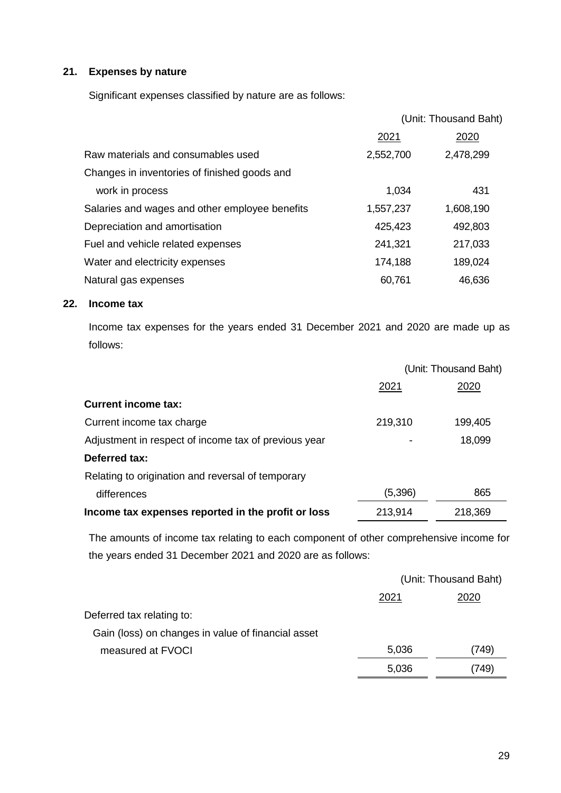# **21. Expenses by nature**

Significant expenses classified by nature are as follows:

|                                                |           | (Unit: Thousand Baht) |
|------------------------------------------------|-----------|-----------------------|
|                                                | 2021      | 2020                  |
| Raw materials and consumables used             | 2,552,700 | 2,478,299             |
| Changes in inventories of finished goods and   |           |                       |
| work in process                                | 1,034     | 431                   |
| Salaries and wages and other employee benefits | 1,557,237 | 1,608,190             |
| Depreciation and amortisation                  | 425,423   | 492,803               |
| Fuel and vehicle related expenses              | 241,321   | 217,033               |
| Water and electricity expenses                 | 174,188   | 189,024               |
| Natural gas expenses                           | 60,761    | 46,636                |

## **22. Income tax**

Income tax expenses for the years ended 31 December 2021 and 2020 are made up as follows:

|                                                      |         | (Unit: Thousand Baht) |
|------------------------------------------------------|---------|-----------------------|
|                                                      | 2021    | 2020                  |
| <b>Current income tax:</b>                           |         |                       |
| Current income tax charge                            | 219,310 | 199,405               |
| Adjustment in respect of income tax of previous year |         | 18,099                |
| Deferred tax:                                        |         |                       |
| Relating to origination and reversal of temporary    |         |                       |
| differences                                          | (5,396) | 865                   |
| Income tax expenses reported in the profit or loss   | 213,914 | 218,369               |
|                                                      |         |                       |

The amounts of income tax relating to each component of other comprehensive income for the years ended 31 December 2021 and 2020 are as follows:

|                                                    | (Unit: Thousand Baht) |       |
|----------------------------------------------------|-----------------------|-------|
|                                                    | 2021                  | 2020  |
| Deferred tax relating to:                          |                       |       |
| Gain (loss) on changes in value of financial asset |                       |       |
| measured at FVOCI                                  | 5,036                 | (749) |
|                                                    | 5,036                 | (749) |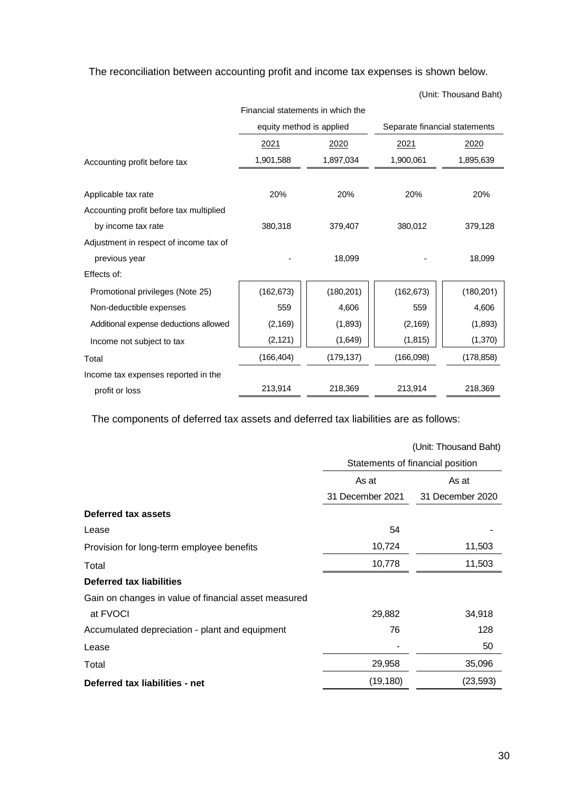The reconciliation between accounting profit and income tax expenses is shown below.

(Unit: Thousand Baht)

| Financial statements in which the       |                          |            |            |                               |  |
|-----------------------------------------|--------------------------|------------|------------|-------------------------------|--|
|                                         | equity method is applied |            |            | Separate financial statements |  |
|                                         | 2021                     | 2020       | 2021       | 2020                          |  |
| Accounting profit before tax            | 1,901,588                | 1,897,034  | 1,900,061  | 1,895,639                     |  |
|                                         |                          |            |            |                               |  |
| Applicable tax rate                     | 20%                      | 20%        | 20%        | 20%                           |  |
| Accounting profit before tax multiplied |                          |            |            |                               |  |
| by income tax rate                      | 380,318                  | 379,407    | 380,012    | 379,128                       |  |
| Adjustment in respect of income tax of  |                          |            |            |                               |  |
| previous year                           |                          | 18,099     |            | 18,099                        |  |
| Effects of:                             |                          |            |            |                               |  |
| Promotional privileges (Note 25)        | (162, 673)               | (180, 201) | (162, 673) | (180, 201)                    |  |
| Non-deductible expenses                 | 559                      | 4,606      | 559        | 4,606                         |  |
| Additional expense deductions allowed   | (2, 169)                 | (1,893)    | (2, 169)   | (1,893)                       |  |
| Income not subject to tax               | (2, 121)                 | (1,649)    | (1, 815)   | (1,370)                       |  |
| Total                                   | (166, 404)               | (179, 137) | (166,098)  | (178, 858)                    |  |
| Income tax expenses reported in the     |                          |            |            |                               |  |
| profit or loss                          | 213,914                  | 218,369    | 213,914    | 218,369                       |  |

The components of deferred tax assets and deferred tax liabilities are as follows:

|                                                      |                                  | (Unit: Thousand Baht) |
|------------------------------------------------------|----------------------------------|-----------------------|
|                                                      | Statements of financial position |                       |
|                                                      | As at                            | As at                 |
|                                                      | 31 December 2021                 | 31 December 2020      |
| Deferred tax assets                                  |                                  |                       |
| Lease                                                | 54                               |                       |
| Provision for long-term employee benefits            | 10,724                           | 11,503                |
| Total                                                | 10,778                           | 11,503                |
| Deferred tax liabilities                             |                                  |                       |
| Gain on changes in value of financial asset measured |                                  |                       |
| at FVOCI                                             | 29,882                           | 34,918                |
| Accumulated depreciation - plant and equipment       | 76                               | 128                   |
| Lease                                                |                                  | 50                    |
| Total                                                | 29,958                           | 35,096                |
| Deferred tax liabilities - net                       | (19, 180)                        | (23, 593)             |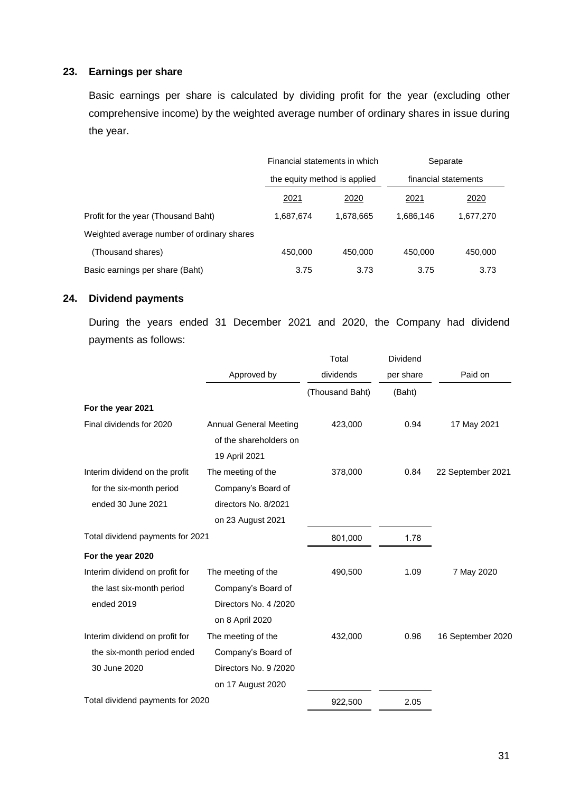## **23. Earnings per share**

Basic earnings per share is calculated by dividing profit for the year (excluding other comprehensive income) by the weighted average number of ordinary shares in issue during the year.

|                                            | Financial statements in which |           | Separate             |           |
|--------------------------------------------|-------------------------------|-----------|----------------------|-----------|
|                                            | the equity method is applied  |           | financial statements |           |
|                                            | <u>2021</u>                   | 2020      | 2021                 | 2020      |
| Profit for the year (Thousand Baht)        | 1,687,674                     | 1,678,665 | 1,686,146            | 1,677,270 |
| Weighted average number of ordinary shares |                               |           |                      |           |
| (Thousand shares)                          | 450,000                       | 450,000   | 450,000              | 450,000   |
| Basic earnings per share (Baht)            | 3.75                          | 3.73      | 3.75                 | 3.73      |

#### **24. Dividend payments**

During the years ended 31 December 2021 and 2020, the Company had dividend payments as follows:

|                                  |                               | Total           | Dividend  |                   |
|----------------------------------|-------------------------------|-----------------|-----------|-------------------|
|                                  | Approved by                   | dividends       | per share | Paid on           |
|                                  |                               | (Thousand Baht) | (Baht)    |                   |
| For the year 2021                |                               |                 |           |                   |
| Final dividends for 2020         | <b>Annual General Meeting</b> | 423,000         | 0.94      | 17 May 2021       |
|                                  | of the shareholders on        |                 |           |                   |
|                                  | 19 April 2021                 |                 |           |                   |
| Interim dividend on the profit   | The meeting of the            | 378,000         | 0.84      | 22 September 2021 |
| for the six-month period         | Company's Board of            |                 |           |                   |
| ended 30 June 2021               | directors No. 8/2021          |                 |           |                   |
|                                  | on 23 August 2021             |                 |           |                   |
| Total dividend payments for 2021 |                               | 801,000         | 1.78      |                   |
| For the year 2020                |                               |                 |           |                   |
| Interim dividend on profit for   | The meeting of the            | 490,500         | 1.09      | 7 May 2020        |
| the last six-month period        | Company's Board of            |                 |           |                   |
| ended 2019                       | Directors No. 4/2020          |                 |           |                   |
|                                  | on 8 April 2020               |                 |           |                   |
| Interim dividend on profit for   | The meeting of the            | 432,000         | 0.96      | 16 September 2020 |
| the six-month period ended       | Company's Board of            |                 |           |                   |
| 30 June 2020                     | Directors No. 9/2020          |                 |           |                   |
|                                  | on 17 August 2020             |                 |           |                   |
| Total dividend payments for 2020 |                               | 922,500         | 2.05      |                   |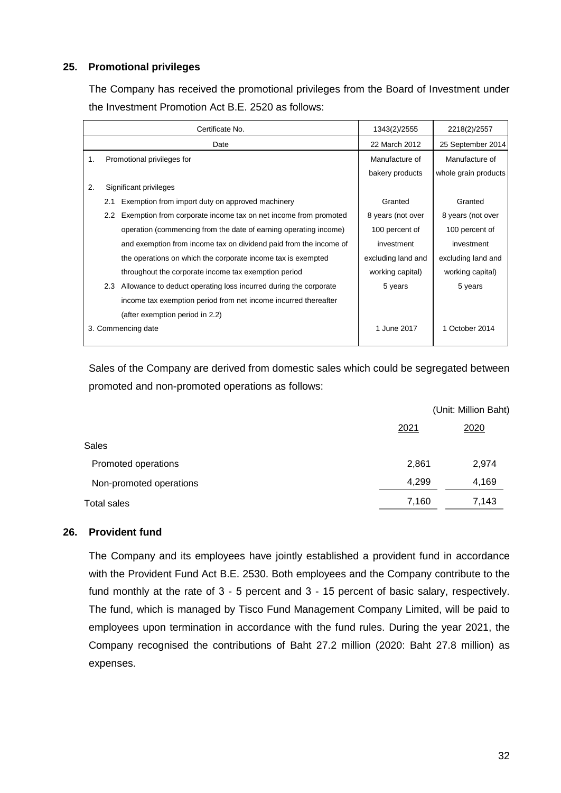# **25. Promotional privileges**

The Company has received the promotional privileges from the Board of Investment under the Investment Promotion Act B.E. 2520 as follows:

|    |               | Certificate No.                                                   | 1343(2)/2555       | 2218(2)/2557         |
|----|---------------|-------------------------------------------------------------------|--------------------|----------------------|
|    |               | Date                                                              | 22 March 2012      | 25 September 2014    |
| 1. |               | Promotional privileges for                                        | Manufacture of     | Manufacture of       |
|    |               |                                                                   | bakery products    | whole grain products |
| 2. |               | Significant privileges                                            |                    |                      |
|    | 2.1           | Exemption from import duty on approved machinery                  | Granted            | Granted              |
|    | $2.2^{\circ}$ | Exemption from corporate income tax on net income from promoted   | 8 years (not over  | 8 years (not over    |
|    |               | operation (commencing from the date of earning operating income)  | 100 percent of     | 100 percent of       |
|    |               | and exemption from income tax on dividend paid from the income of | investment         | investment           |
|    |               | the operations on which the corporate income tax is exempted      | excluding land and | excluding land and   |
|    |               | throughout the corporate income tax exemption period              | working capital)   | working capital)     |
|    | 2.3           | Allowance to deduct operating loss incurred during the corporate  | 5 years            | 5 years              |
|    |               | income tax exemption period from net income incurred thereafter   |                    |                      |
|    |               | (after exemption period in 2.2)                                   |                    |                      |
|    |               | 3. Commencing date                                                | 1 June 2017        | 1 October 2014       |

Sales of the Company are derived from domestic sales which could be segregated between promoted and non-promoted operations as follows:

|                         | (Unit: Million Baht) |       |  |
|-------------------------|----------------------|-------|--|
|                         | 2021                 | 2020  |  |
| <b>Sales</b>            |                      |       |  |
| Promoted operations     | 2,861                | 2,974 |  |
| Non-promoted operations | 4,299                | 4,169 |  |
| Total sales             | 7,160                | 7,143 |  |
|                         |                      |       |  |

## **26. Provident fund**

The Company and its employees have jointly established a provident fund in accordance with the Provident Fund Act B.E. 2530. Both employees and the Company contribute to the fund monthly at the rate of 3 - 5 percent and 3 - 15 percent of basic salary, respectively. The fund, which is managed by Tisco Fund Management Company Limited, will be paid to employees upon termination in accordance with the fund rules. During the year 2021, the Company recognised the contributions of Baht 27.2 million (2020: Baht 27.8 million) as expenses.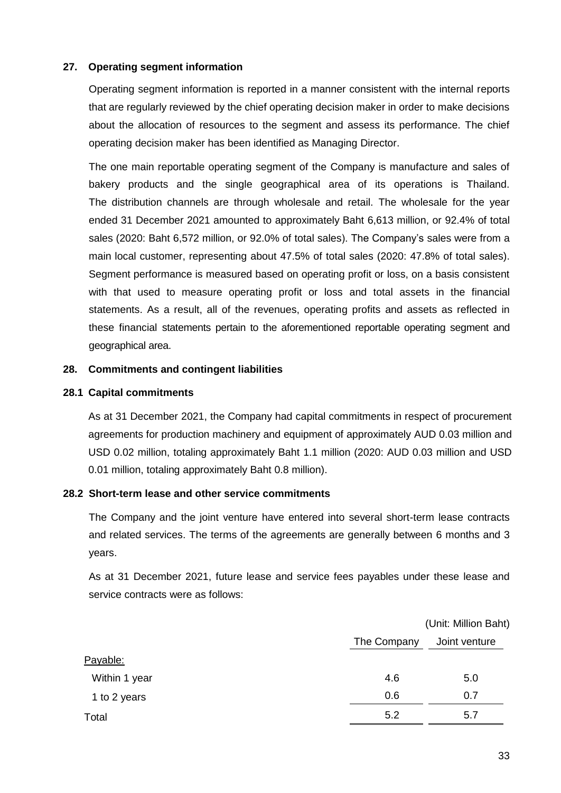# **27. Operating segment information**

Operating segment information is reported in a manner consistent with the internal reports that are regularly reviewed by the chief operating decision maker in order to make decisions about the allocation of resources to the segment and assess its performance. The chief operating decision maker has been identified as Managing Director.

The one main reportable operating segment of the Company is manufacture and sales of bakery products and the single geographical area of its operations is Thailand. The distribution channels are through wholesale and retail. The wholesale for the year ended 31 December 2021 amounted to approximately Baht 6,613 million, or 92.4% of total sales (2020: Baht 6,572 million, or 92.0% of total sales). The Company's sales were from a main local customer, representing about 47.5% of total sales (2020: 47.8% of total sales). Segment performance is measured based on operating profit or loss, on a basis consistent with that used to measure operating profit or loss and total assets in the financial statements. As a result, all of the revenues, operating profits and assets as reflected in these financial statements pertain to the aforementioned reportable operating segment and geographical area.

## **28. Commitments and contingent liabilities**

## **28.1 Capital commitments**

As at 31 December 2021, the Company had capital commitments in respect of procurement agreements for production machinery and equipment of approximately AUD 0.03 million and USD 0.02 million, totaling approximately Baht 1.1 million (2020: AUD 0.03 million and USD 0.01 million, totaling approximately Baht 0.8 million).

# **28.2 Short-term lease and other service commitments**

The Company and the joint venture have entered into several short-term lease contracts and related services. The terms of the agreements are generally between 6 months and 3 years.

As at 31 December 2021, future lease and service fees payables under these lease and service contracts were as follows:

|               |             | (Unit: Million Baht) |
|---------------|-------------|----------------------|
|               | The Company | Joint venture        |
| Payable:      |             |                      |
| Within 1 year | 4.6         | 5.0                  |
| 1 to 2 years  | 0.6         | 0.7                  |
| Total         | 5.2         | 5.7                  |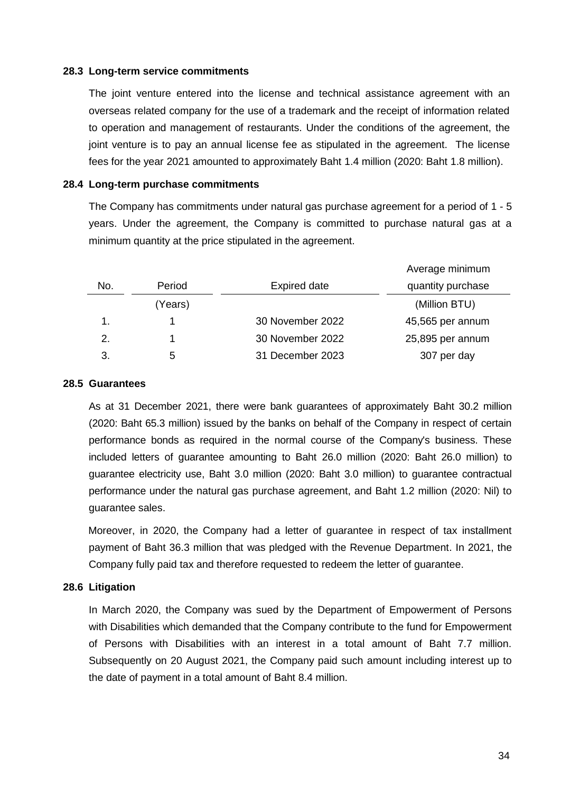#### **28.3 Long-term service commitments**

The joint venture entered into the license and technical assistance agreement with an overseas related company for the use of a trademark and the receipt of information related to operation and management of restaurants. Under the conditions of the agreement, the joint venture is to pay an annual license fee as stipulated in the agreement. The license fees for the year 2021 amounted to approximately Baht 1.4 million (2020: Baht 1.8 million).

## **28.4 Long-term purchase commitments**

The Company has commitments under natural gas purchase agreement for a period of 1 - 5 years. Under the agreement, the Company is committed to purchase natural gas at a minimum quantity at the price stipulated in the agreement.

|     |         |                     | Average minimum   |
|-----|---------|---------------------|-------------------|
| No. | Period  | <b>Expired date</b> | quantity purchase |
|     | (Years) |                     | (Million BTU)     |
| 1.  |         | 30 November 2022    | 45,565 per annum  |
| 2.  |         | 30 November 2022    | 25,895 per annum  |
| 3.  | 5       | 31 December 2023    | 307 per day       |

# **28.5 Guarantees**

As at 31 December 2021, there were bank guarantees of approximately Baht 30.2 million (2020: Baht 65.3 million) issued by the banks on behalf of the Company in respect of certain performance bonds as required in the normal course of the Company's business. These included letters of guarantee amounting to Baht 26.0 million (2020: Baht 26.0 million) to guarantee electricity use, Baht 3.0 million (2020: Baht 3.0 million) to guarantee contractual performance under the natural gas purchase agreement, and Baht 1.2 million (2020: Nil) to guarantee sales.

Moreover, in 2020, the Company had a letter of guarantee in respect of tax installment payment of Baht 36.3 million that was pledged with the Revenue Department. In 2021, the Company fully paid tax and therefore requested to redeem the letter of guarantee.

# **28.6 Litigation**

In March 2020, the Company was sued by the Department of Empowerment of Persons with Disabilities which demanded that the Company contribute to the fund for Empowerment of Persons with Disabilities with an interest in a total amount of Baht 7.7 million. Subsequently on 20 August 2021, the Company paid such amount including interest up to the date of payment in a total amount of Baht 8.4 million.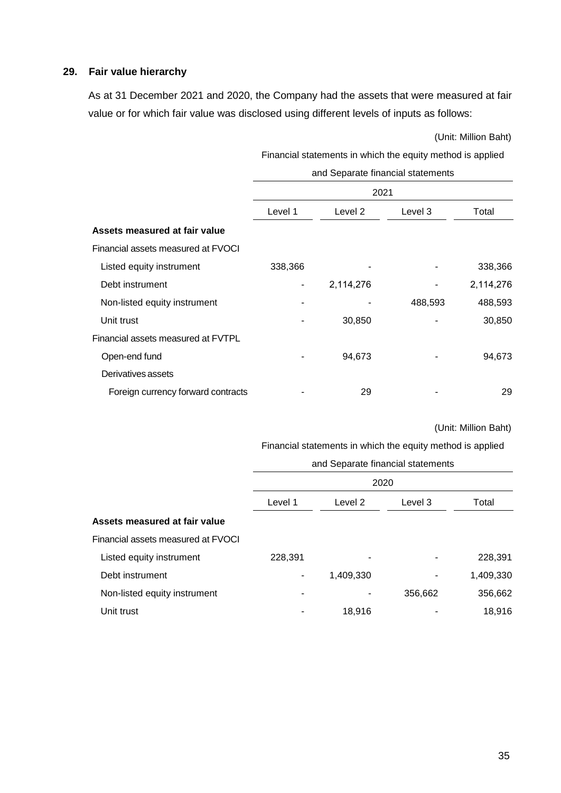## **29. Fair value hierarchy**

As at 31 December 2021 and 2020, the Company had the assets that were measured at fair value or for which fair value was disclosed using different levels of inputs as follows:

(Unit: Million Baht)

|                                    |         |           | and Separate financial statements |           |  |
|------------------------------------|---------|-----------|-----------------------------------|-----------|--|
|                                    | 2021    |           |                                   |           |  |
|                                    | Level 1 | Level 2   | Level 3                           | Total     |  |
| Assets measured at fair value      |         |           |                                   |           |  |
| Financial assets measured at FVOCI |         |           |                                   |           |  |
| Listed equity instrument           | 338,366 |           |                                   | 338,366   |  |
| Debt instrument                    |         | 2,114,276 |                                   | 2,114,276 |  |
| Non-listed equity instrument       |         |           | 488,593                           | 488,593   |  |
| Unit trust                         |         | 30,850    |                                   | 30,850    |  |
| Financial assets measured at FVTPL |         |           |                                   |           |  |
| Open-end fund                      |         | 94,673    |                                   | 94,673    |  |
| Derivatives assets                 |         |           |                                   |           |  |
| Foreign currency forward contracts |         | 29        |                                   | 29        |  |

Financial statements in which the equity method is applied

(Unit: Million Baht)

Financial statements in which the equity method is applied

|                                    |         | and Separate financial statements |         |           |  |
|------------------------------------|---------|-----------------------------------|---------|-----------|--|
|                                    | 2020    |                                   |         |           |  |
|                                    | Level 1 | Level 2                           | Level 3 | Total     |  |
| Assets measured at fair value      |         |                                   |         |           |  |
| Financial assets measured at FVOCI |         |                                   |         |           |  |
| Listed equity instrument           | 228,391 |                                   |         | 228,391   |  |
| Debt instrument                    |         | 1,409,330                         |         | 1,409,330 |  |
| Non-listed equity instrument       |         |                                   | 356,662 | 356,662   |  |
| Unit trust                         |         | 18,916                            |         | 18,916    |  |
|                                    |         |                                   |         |           |  |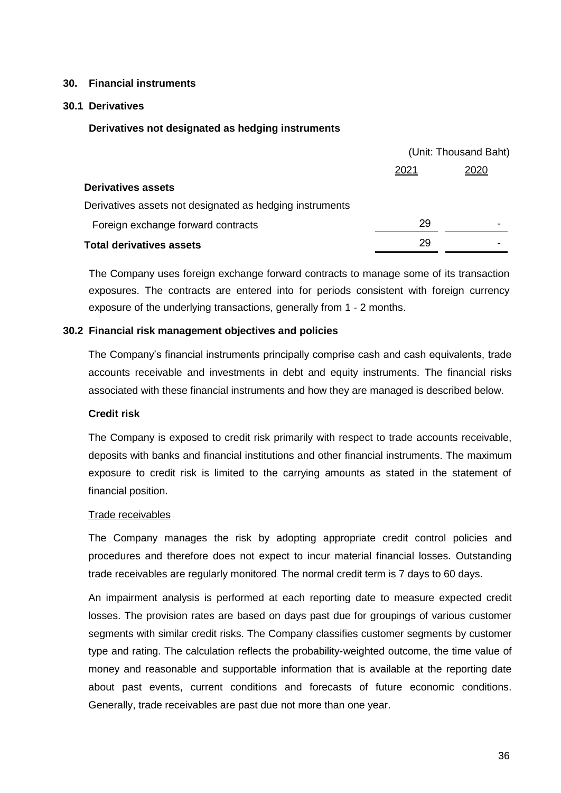## **30. Financial instruments**

#### **30.1 Derivatives**

## **Derivatives not designated as hedging instruments**

|                                                          |      | (Unit: Thousand Baht) |
|----------------------------------------------------------|------|-----------------------|
|                                                          | 2021 | 2020                  |
| <b>Derivatives assets</b>                                |      |                       |
| Derivatives assets not designated as hedging instruments |      |                       |
| Foreign exchange forward contracts                       | 29   |                       |
| <b>Total derivatives assets</b>                          | 29   |                       |

The Company uses foreign exchange forward contracts to manage some of its transaction exposures. The contracts are entered into for periods consistent with foreign currency exposure of the underlying transactions, generally from 1 - 2 months.

#### **30.2 Financial risk management objectives and policies**

The Company's financial instruments principally comprise cash and cash equivalents, trade accounts receivable and investments in debt and equity instruments. The financial risks associated with these financial instruments and how they are managed is described below.

## **Credit risk**

The Company is exposed to credit risk primarily with respect to trade accounts receivable, deposits with banks and financial institutions and other financial instruments. The maximum exposure to credit risk is limited to the carrying amounts as stated in the statement of financial position.

#### Trade receivables

The Company manages the risk by adopting appropriate credit control policies and procedures and therefore does not expect to incur material financial losses. Outstanding trade receivables are regularly monitored. The normal credit term is 7 days to 60 days.

An impairment analysis is performed at each reporting date to measure expected credit losses. The provision rates are based on days past due for groupings of various customer segments with similar credit risks. The Company classifies customer segments by customer type and rating. The calculation reflects the probability-weighted outcome, the time value of money and reasonable and supportable information that is available at the reporting date about past events, current conditions and forecasts of future economic conditions. Generally, trade receivables are past due not more than one year.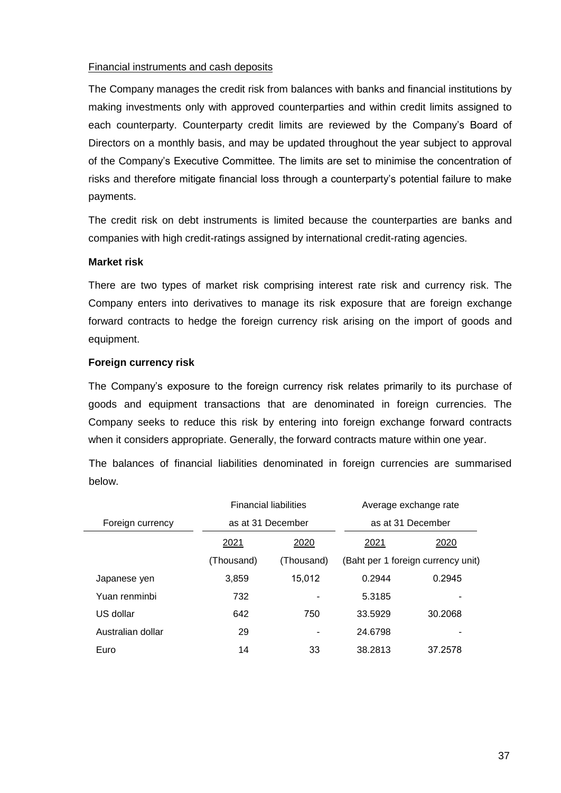# Financial instruments and cash deposits

The Company manages the credit risk from balances with banks and financial institutions by making investments only with approved counterparties and within credit limits assigned to each counterparty. Counterparty credit limits are reviewed by the Company's Board of Directors on a monthly basis, and may be updated throughout the year subject to approval of the Company's Executive Committee. The limits are set to minimise the concentration of risks and therefore mitigate financial loss through a counterparty's potential failure to make payments.

The credit risk on debt instruments is limited because the counterparties are banks and companies with high credit-ratings assigned by international credit-rating agencies.

## **Market risk**

There are two types of market risk comprising interest rate risk and currency risk. The Company enters into derivatives to manage its risk exposure that are foreign exchange forward contracts to hedge the foreign currency risk arising on the import of goods and equipment.

## **Foreign currency risk**

The Company's exposure to the foreign currency risk relates primarily to its purchase of goods and equipment transactions that are denominated in foreign currencies. The Company seeks to reduce this risk by entering into foreign exchange forward contracts when it considers appropriate. Generally, the forward contracts mature within one year.

The balances of financial liabilities denominated in foreign currencies are summarised below.

|                   | <b>Financial liabilities</b> |                   | Average exchange rate |                                    |
|-------------------|------------------------------|-------------------|-----------------------|------------------------------------|
| Foreign currency  |                              | as at 31 December |                       | as at 31 December                  |
|                   | 2021                         | 2020              | 2021                  | 2020                               |
|                   | (Thousand)                   | (Thousand)        |                       | (Baht per 1 foreign currency unit) |
| Japanese yen      | 3,859                        | 15,012            | 0.2944                | 0.2945                             |
| Yuan renminbi     | 732                          |                   | 5.3185                |                                    |
| US dollar         | 642                          | 750               | 33.5929               | 30.2068                            |
| Australian dollar | 29                           |                   | 24.6798               |                                    |
| Euro              | 14                           | 33                | 38.2813               | 37.2578                            |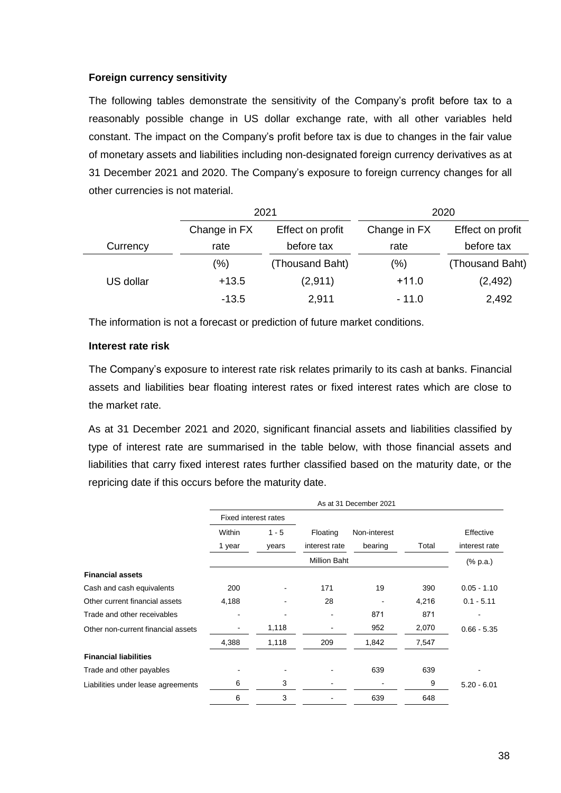## **Foreign currency sensitivity**

The following tables demonstrate the sensitivity of the Company's profit before tax to a reasonably possible change in US dollar exchange rate, with all other variables held constant. The impact on the Company's profit before tax is due to changes in the fair value of monetary assets and liabilities including non-designated foreign currency derivatives as at 31 December 2021 and 2020. The Company's exposure to foreign currency changes for all other currencies is not material.

|           |              | 2021             |              | 2020             |
|-----------|--------------|------------------|--------------|------------------|
|           | Change in FX | Effect on profit | Change in FX | Effect on profit |
| Currency  | rate         | before tax       | rate         | before tax       |
|           | $(\% )$      | (Thousand Baht)  | (%)          | (Thousand Baht)  |
| US dollar | $+13.5$      | (2,911)          | $+11.0$      | (2, 492)         |
|           | $-13.5$      | 2,911            | $-11.0$      | 2,492            |

The information is not a forecast or prediction of future market conditions.

### **Interest rate risk**

The Company's exposure to interest rate risk relates primarily to its cash at banks. Financial assets and liabilities bear floating interest rates or fixed interest rates which are close to the market rate.

As at 31 December 2021 and 2020, significant financial assets and liabilities classified by type of interest rate are summarised in the table below, with those financial assets and liabilities that carry fixed interest rates further classified based on the maturity date, or the repricing date if this occurs before the maturity date.

| Fixed interest rates<br>Within<br>$1 - 5$<br>Floating |              |       |                             |
|-------------------------------------------------------|--------------|-------|-----------------------------|
|                                                       |              |       |                             |
|                                                       | Non-interest |       | Effective                   |
| interest rate<br>1 year<br>years                      | bearing      | Total | interest rate               |
| <b>Million Baht</b>                                   |              |       | $(% \mathbb{R}^2)$ (% p.a.) |
| <b>Financial assets</b>                               |              |       |                             |
| Cash and cash equivalents<br>171<br>200               | 19           | 390   | $0.05 - 1.10$               |
| Other current financial assets<br>4,188<br>28         |              | 4,216 | $0.1 - 5.11$                |
| Trade and other receivables                           | 871          | 871   |                             |
| 1,118<br>Other non-current financial assets           | 952          | 2,070 | $0.66 - 5.35$               |
| 209<br>4,388<br>1,118                                 | 1,842        | 7,547 |                             |
| <b>Financial liabilities</b>                          |              |       |                             |
| Trade and other payables                              | 639          | 639   |                             |
| 6<br>3<br>Liabilities under lease agreements          |              | 9     | $5.20 - 6.01$               |
| 3<br>6                                                | 639          | 648   |                             |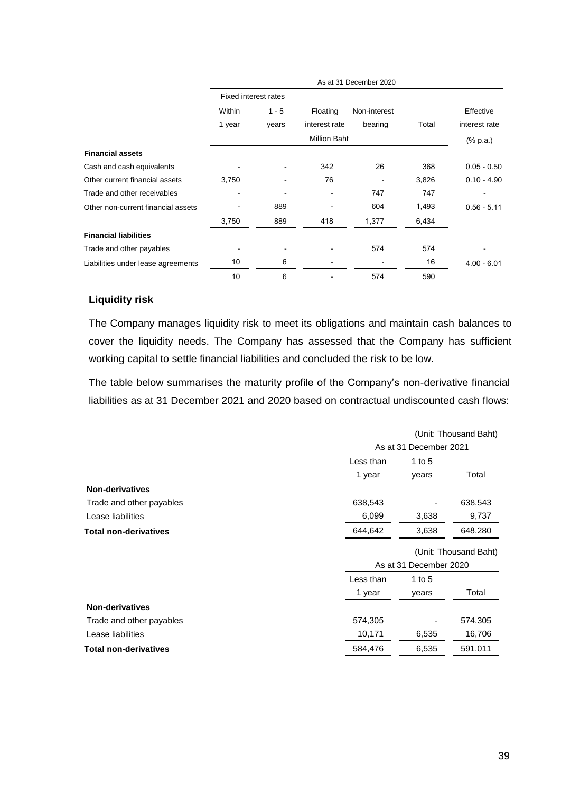|                                    | As at 31 December 2020 |                             |                     |              |       |                             |
|------------------------------------|------------------------|-----------------------------|---------------------|--------------|-------|-----------------------------|
|                                    |                        | <b>Fixed interest rates</b> |                     |              |       |                             |
|                                    | Within                 | $1 - 5$                     | Floating            | Non-interest |       | Effective                   |
|                                    | 1 year                 | years                       | interest rate       | bearing      | Total | interest rate               |
|                                    |                        |                             | <b>Million Baht</b> |              |       | $(% \mathbb{R}^2)$ (% p.a.) |
| <b>Financial assets</b>            |                        |                             |                     |              |       |                             |
| Cash and cash equivalents          |                        |                             | 342                 | 26           | 368   | $0.05 - 0.50$               |
| Other current financial assets     | 3,750                  |                             | 76                  |              | 3,826 | $0.10 - 4.90$               |
| Trade and other receivables        |                        |                             |                     | 747          | 747   |                             |
| Other non-current financial assets |                        | 889                         |                     | 604          | 1,493 | $0.56 - 5.11$               |
|                                    | 3,750                  | 889                         | 418                 | 1,377        | 6,434 |                             |
| <b>Financial liabilities</b>       |                        |                             |                     |              |       |                             |
| Trade and other payables           |                        |                             |                     | 574          | 574   |                             |
| Liabilities under lease agreements | 10                     | 6                           |                     |              | 16    | $4.00 - 6.01$               |
|                                    | 10                     | 6                           |                     | 574          | 590   |                             |

# **Liquidity risk**

The Company manages liquidity risk to meet its obligations and maintain cash balances to cover the liquidity needs. The Company has assessed that the Company has sufficient working capital to settle financial liabilities and concluded the risk to be low.

The table below summarises the maturity profile of the Company's non-derivative financial liabilities as at 31 December 2021 and 2020 based on contractual undiscounted cash flows:

|                              |           | (Unit: Thousand Baht)  |                       |  |
|------------------------------|-----------|------------------------|-----------------------|--|
|                              |           | As at 31 December 2021 |                       |  |
|                              | Less than | 1 to 5                 |                       |  |
|                              | 1 year    | years                  | Total                 |  |
| <b>Non-derivatives</b>       |           |                        |                       |  |
| Trade and other payables     | 638,543   |                        | 638,543               |  |
| Lease liabilities            | 6,099     | 3,638                  | 9,737                 |  |
| <b>Total non-derivatives</b> | 644,642   | 3,638                  | 648,280               |  |
|                              |           |                        | (Unit: Thousand Baht) |  |
|                              |           | As at 31 December 2020 |                       |  |
|                              | Less than | 1 to $5$               |                       |  |
|                              | 1 year    | years                  | Total                 |  |
| <b>Non-derivatives</b>       |           |                        |                       |  |
| Trade and other payables     | 574,305   |                        | 574,305               |  |
| Lease liabilities            | 10,171    | 6,535                  | 16,706                |  |
| <b>Total non-derivatives</b> | 584,476   | 6,535                  | 591,011               |  |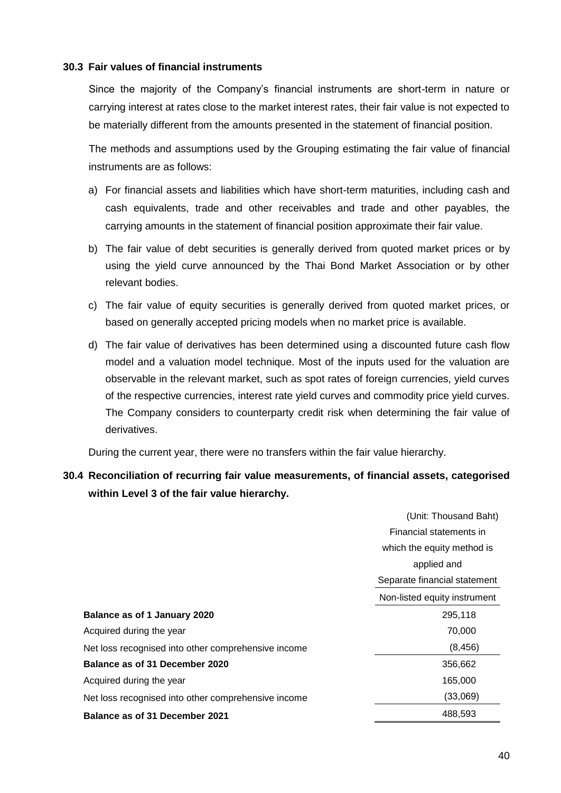#### **30.3 Fair values of financial instruments**

Since the majority of the Company's financial instruments are short-term in nature or carrying interest at rates close to the market interest rates, their fair value is not expected to be materially different from the amounts presented in the statement of financial position.

The methods and assumptions used by the Grouping estimating the fair value of financial instruments are as follows:

- a) For financial assets and liabilities which have short-term maturities, including cash and cash equivalents, trade and other receivables and trade and other payables, the carrying amounts in the statement of financial position approximate their fair value.
- b) The fair value of debt securities is generally derived from quoted market prices or by using the yield curve announced by the Thai Bond Market Association or by other relevant bodies.
- c) The fair value of equity securities is generally derived from quoted market prices, or based on generally accepted pricing models when no market price is available.
- d) The fair value of derivatives has been determined using a discounted future cash flow model and a valuation model technique. Most of the inputs used for the valuation are observable in the relevant market, such as spot rates of foreign currencies, yield curves of the respective currencies, interest rate yield curves and commodity price yield curves. The Company considers to counterparty credit risk when determining the fair value of derivatives.

During the current year, there were no transfers within the fair value hierarchy.

# **30.4 Reconciliation of recurring fair value measurements, of financial assets, categorised within Level 3 of the fair value hierarchy.**

|                                                     | (Unit: Thousand Baht)        |
|-----------------------------------------------------|------------------------------|
|                                                     | Financial statements in      |
|                                                     | which the equity method is   |
|                                                     | applied and                  |
|                                                     | Separate financial statement |
|                                                     | Non-listed equity instrument |
| Balance as of 1 January 2020                        | 295,118                      |
| Acquired during the year                            | 70,000                       |
| Net loss recognised into other comprehensive income | (8, 456)                     |
| Balance as of 31 December 2020                      | 356,662                      |
| Acquired during the year                            | 165,000                      |
| Net loss recognised into other comprehensive income | (33,069)                     |
| Balance as of 31 December 2021                      | 488,593                      |